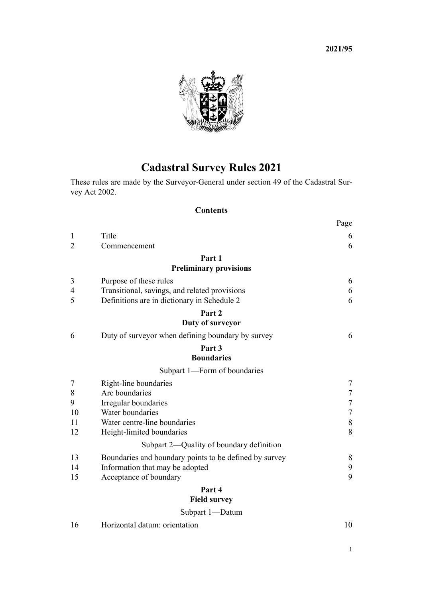<span id="page-0-0"></span>

# **Cadastral Survey Rules 2021**

These rules are made by the Surveyor-General under [section 49](http://legislation.govt.nz/pdflink.aspx?id=DLM142600) of the Cadastral Sur[vey Act 2002](http://legislation.govt.nz/pdflink.aspx?id=DLM141994).

# **Contents**

|                |                                                        | Page             |
|----------------|--------------------------------------------------------|------------------|
| 1              | Title                                                  | 6                |
| $\overline{2}$ | Commencement                                           | 6                |
|                | Part 1                                                 |                  |
|                | <b>Preliminary provisions</b>                          |                  |
| 3              | Purpose of these rules                                 | 6                |
| $\overline{4}$ | Transitional, savings, and related provisions          | 6                |
| 5              | Definitions are in dictionary in Schedule 2            | 6                |
|                | Part 2                                                 |                  |
|                | Duty of surveyor                                       |                  |
| 6              | Duty of surveyor when defining boundary by survey      | 6                |
|                | Part 3                                                 |                  |
|                | <b>Boundaries</b>                                      |                  |
|                | Subpart 1—Form of boundaries                           |                  |
| 7              | Right-line boundaries                                  | 7                |
| 8              | Arc boundaries                                         | $\boldsymbol{7}$ |
| 9              | Irregular boundaries                                   | $\sqrt{ }$       |
| 10             | Water boundaries                                       | $\overline{7}$   |
| 11             | Water centre-line boundaries                           | $\,8\,$          |
| 12             | Height-limited boundaries                              | 8                |
|                | Subpart 2—Quality of boundary definition               |                  |
| 13             | Boundaries and boundary points to be defined by survey | 8                |
| 14             | Information that may be adopted                        | 9                |
| 15             | Acceptance of boundary                                 | 9                |
|                | Part 4                                                 |                  |
|                | <b>Field survey</b>                                    |                  |
|                | Subpart 1-Datum                                        |                  |

**2021/95**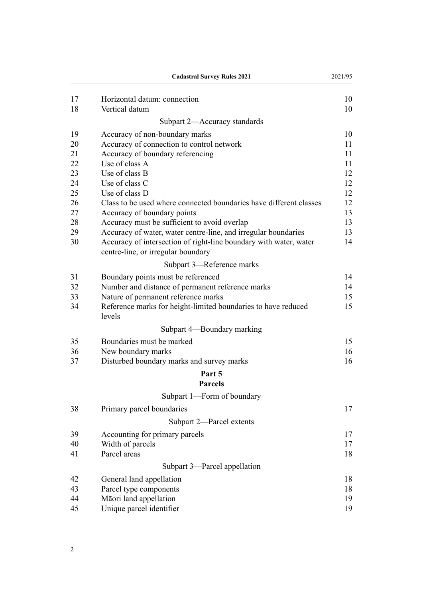|    | <b>Cadastral Survey Rules 2021</b>                                                                      | 2021/95 |
|----|---------------------------------------------------------------------------------------------------------|---------|
| 17 | Horizontal datum: connection                                                                            | 10      |
| 18 | Vertical datum                                                                                          | 10      |
|    | Subpart 2-Accuracy standards                                                                            |         |
| 19 | Accuracy of non-boundary marks                                                                          | 10      |
| 20 | Accuracy of connection to control network                                                               | 11      |
| 21 | Accuracy of boundary referencing                                                                        | 11      |
| 22 | Use of class A                                                                                          | 11      |
| 23 | Use of class B                                                                                          | 12      |
| 24 | Use of class C                                                                                          | 12      |
| 25 | Use of class D                                                                                          | 12      |
| 26 | Class to be used where connected boundaries have different classes                                      | 12      |
| 27 | Accuracy of boundary points                                                                             | 13      |
| 28 | Accuracy must be sufficient to avoid overlap                                                            | 13      |
| 29 | Accuracy of water, water centre-line, and irregular boundaries                                          | 13      |
| 30 | Accuracy of intersection of right-line boundary with water, water<br>centre-line, or irregular boundary | 14      |
|    | Subpart 3—Reference marks                                                                               |         |
| 31 | Boundary points must be referenced                                                                      | 14      |
| 32 | Number and distance of permanent reference marks                                                        | 14      |
| 33 | Nature of permanent reference marks                                                                     | 15      |
| 34 | Reference marks for height-limited boundaries to have reduced<br>levels                                 | 15      |
|    | Subpart 4-Boundary marking                                                                              |         |
| 35 | Boundaries must be marked                                                                               | 15      |
| 36 | New boundary marks                                                                                      | 16      |
| 37 | Disturbed boundary marks and survey marks                                                               | 16      |
|    | Part 5                                                                                                  |         |
|    | <b>Parcels</b>                                                                                          |         |
|    | Subpart 1-Form of boundary                                                                              |         |
| 38 | Primary parcel boundaries                                                                               | 17      |
|    | Subpart 2-Parcel extents                                                                                |         |
| 39 | Accounting for primary parcels                                                                          | 17      |
| 40 | Width of parcels                                                                                        | 17      |
| 41 | Parcel areas                                                                                            | 18      |
|    | Subpart 3—Parcel appellation                                                                            |         |
| 42 | General land appellation                                                                                | 18      |
| 43 | Parcel type components                                                                                  | 18      |
| 44 | Māori land appellation                                                                                  | 19      |
| 45 | Unique parcel identifier                                                                                | 19      |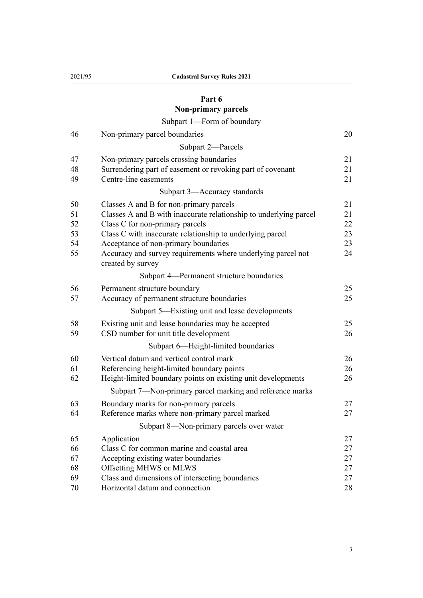# **[Part 6](#page-19-0)**

# **[Non-primary parcels](#page-19-0)** [Subpart 1—Form of boundary](#page-19-0)

| 46                               | Non-primary parcel boundaries                                                                                                                                                                                                                                                                                                             | 20                               |
|----------------------------------|-------------------------------------------------------------------------------------------------------------------------------------------------------------------------------------------------------------------------------------------------------------------------------------------------------------------------------------------|----------------------------------|
|                                  | Subpart 2-Parcels                                                                                                                                                                                                                                                                                                                         |                                  |
| 47<br>48<br>49                   | Non-primary parcels crossing boundaries<br>Surrendering part of easement or revoking part of covenant<br>Centre-line easements                                                                                                                                                                                                            | 21<br>21<br>21                   |
|                                  | Subpart 3-Accuracy standards                                                                                                                                                                                                                                                                                                              |                                  |
| 50<br>51<br>52<br>53<br>54<br>55 | Classes A and B for non-primary parcels<br>Classes A and B with inaccurate relationship to underlying parcel<br>Class C for non-primary parcels<br>Class C with inaccurate relationship to underlying parcel<br>Acceptance of non-primary boundaries<br>Accuracy and survey requirements where underlying parcel not<br>created by survey | 21<br>21<br>22<br>23<br>23<br>24 |
|                                  | Subpart 4—Permanent structure boundaries                                                                                                                                                                                                                                                                                                  |                                  |
| 56<br>57                         | Permanent structure boundary<br>Accuracy of permanent structure boundaries                                                                                                                                                                                                                                                                | 25<br>25                         |
|                                  | Subpart 5—Existing unit and lease developments                                                                                                                                                                                                                                                                                            |                                  |
| 58<br>59                         | Existing unit and lease boundaries may be accepted<br>CSD number for unit title development                                                                                                                                                                                                                                               | 25<br>26                         |
|                                  | Subpart 6-Height-limited boundaries                                                                                                                                                                                                                                                                                                       |                                  |
| 60<br>61<br>62                   | Vertical datum and vertical control mark<br>Referencing height-limited boundary points<br>Height-limited boundary points on existing unit developments                                                                                                                                                                                    | 26<br>26<br>26                   |
|                                  | Subpart 7-Non-primary parcel marking and reference marks                                                                                                                                                                                                                                                                                  |                                  |
| 63<br>64                         | Boundary marks for non-primary parcels<br>Reference marks where non-primary parcel marked                                                                                                                                                                                                                                                 | 27<br>27                         |
|                                  | Subpart 8—Non-primary parcels over water                                                                                                                                                                                                                                                                                                  |                                  |
| 65<br>66<br>67<br>68             | Application<br>Class C for common marine and coastal area<br>Accepting existing water boundaries<br>Offsetting MHWS or MLWS                                                                                                                                                                                                               | 27<br>27<br>27<br>27             |
| 69<br>70                         | Class and dimensions of intersecting boundaries<br>Horizontal datum and connection                                                                                                                                                                                                                                                        | 27<br>28                         |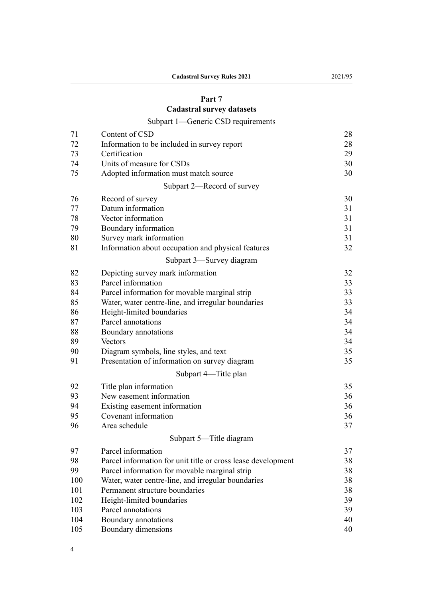# **[Part 7](#page-27-0)**

# **[Cadastral survey datasets](#page-27-0)**

# [Subpart 1—Generic CSD requirements](#page-27-0)

| 71  | Content of CSD                                               | 28 |
|-----|--------------------------------------------------------------|----|
| 72  | Information to be included in survey report                  | 28 |
| 73  | Certification                                                | 29 |
| 74  | Units of measure for CSDs                                    | 30 |
| 75  | Adopted information must match source                        | 30 |
|     | Subpart 2—Record of survey                                   |    |
| 76  | Record of survey                                             | 30 |
| 77  | Datum information                                            | 31 |
| 78  | Vector information                                           | 31 |
| 79  | Boundary information                                         | 31 |
| 80  | Survey mark information                                      | 31 |
| 81  | Information about occupation and physical features           | 32 |
|     | Subpart 3-Survey diagram                                     |    |
| 82  | Depicting survey mark information                            | 32 |
| 83  | Parcel information                                           | 33 |
| 84  | Parcel information for movable marginal strip                | 33 |
| 85  | Water, water centre-line, and irregular boundaries           | 33 |
| 86  | Height-limited boundaries                                    | 34 |
| 87  | Parcel annotations                                           | 34 |
| 88  | Boundary annotations                                         | 34 |
| 89  | Vectors                                                      | 34 |
| 90  | Diagram symbols, line styles, and text                       | 35 |
| 91  | Presentation of information on survey diagram                | 35 |
|     | Subpart 4-Title plan                                         |    |
| 92  | Title plan information                                       | 35 |
| 93  | New easement information                                     | 36 |
| 94  | Existing easement information                                | 36 |
| 95  | Covenant information                                         | 36 |
| 96  | Area schedule                                                | 37 |
|     | Subpart 5-Title diagram                                      |    |
| 97  | Parcel information                                           | 37 |
| 98  | Parcel information for unit title or cross lease development | 38 |
| 99  | Parcel information for movable marginal strip                | 38 |
| 100 | Water, water centre-line, and irregular boundaries           | 38 |
| 101 | Permanent structure boundaries                               | 38 |
| 102 | Height-limited boundaries                                    | 39 |
| 103 | Parcel annotations                                           | 39 |
| 104 | Boundary annotations                                         | 40 |
| 105 | Boundary dimensions                                          | 40 |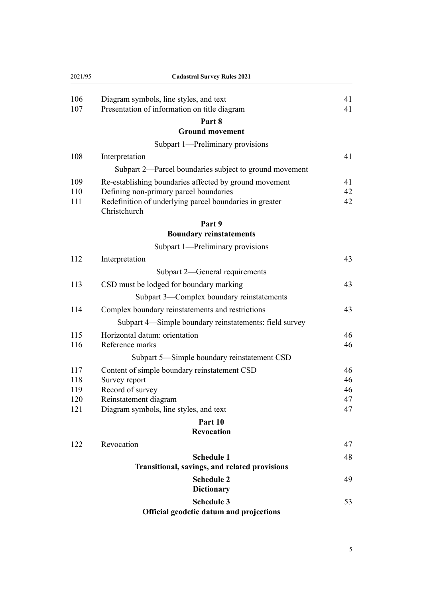| 2021/95 | <b>Cadastral Survey Rules 2021</b>                                      |    |
|---------|-------------------------------------------------------------------------|----|
| 106     | Diagram symbols, line styles, and text                                  | 41 |
| 107     | Presentation of information on title diagram                            | 41 |
|         | Part 8                                                                  |    |
|         | <b>Ground movement</b>                                                  |    |
|         | Subpart 1-Preliminary provisions                                        |    |
| 108     | Interpretation                                                          | 41 |
|         | Subpart 2-Parcel boundaries subject to ground movement                  |    |
| 109     | Re-establishing boundaries affected by ground movement                  | 41 |
| 110     | Defining non-primary parcel boundaries                                  | 42 |
| 111     | Redefinition of underlying parcel boundaries in greater<br>Christchurch | 42 |
|         | Part 9                                                                  |    |
|         | <b>Boundary reinstatements</b>                                          |    |
|         | Subpart 1—Preliminary provisions                                        |    |
| 112     | Interpretation                                                          | 43 |
|         | Subpart 2—General requirements                                          |    |
| 113     | CSD must be lodged for boundary marking                                 | 43 |
|         | Subpart 3—Complex boundary reinstatements                               |    |
| 114     | Complex boundary reinstatements and restrictions                        | 43 |
|         | Subpart 4—Simple boundary reinstatements: field survey                  |    |
| 115     | Horizontal datum: orientation                                           | 46 |
| 116     | Reference marks                                                         | 46 |
|         | Subpart 5—Simple boundary reinstatement CSD                             |    |
| 117     | Content of simple boundary reinstatement CSD                            | 46 |
| 118     | Survey report                                                           | 46 |
| 119     | Record of survey                                                        | 46 |
| 120     | Reinstatement diagram                                                   | 47 |
| 121     | Diagram symbols, line styles, and text                                  | 47 |
|         | Part 10                                                                 |    |
|         | <b>Revocation</b>                                                       |    |
| 122     | Revocation                                                              | 47 |
|         | <b>Schedule 1</b>                                                       | 48 |
|         | Transitional, savings, and related provisions                           |    |
|         | <b>Schedule 2</b>                                                       | 49 |
|         | <b>Dictionary</b>                                                       |    |
|         | <b>Schedule 3</b>                                                       | 53 |
|         | Official geodetic datum and projections                                 |    |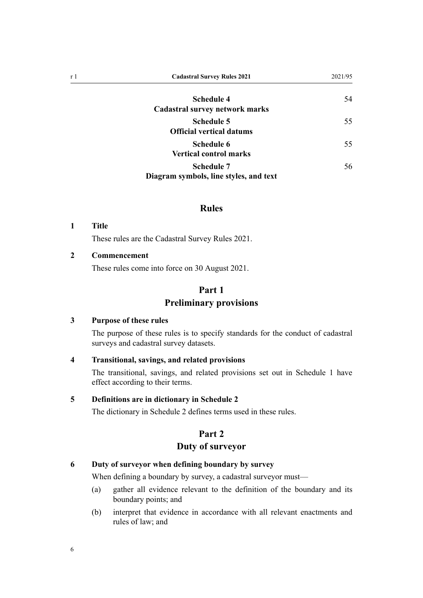<span id="page-5-0"></span>

| r 1 | <b>Cadastral Survey Rules 2021</b>                          | 2021/95 |
|-----|-------------------------------------------------------------|---------|
|     | <b>Schedule 4</b><br>Cadastral survey network marks         | 54      |
|     | <b>Schedule 5</b><br><b>Official vertical datums</b>        | 55      |
|     | Schedule 6<br><b>Vertical control marks</b>                 | 55      |
|     | <b>Schedule 7</b><br>Diagram symbols, line styles, and text | 56      |

# **Rules**

#### **1 Title**

These rules are the Cadastral Survey Rules 2021.

### **2 Commencement**

These rules come into force on 30 August 2021.

# **Part 1 Preliminary provisions**

#### **3 Purpose of these rules**

The purpose of these rules is to specify standards for the conduct of cadastral surveys and cadastral survey datasets.

## **4 Transitional, savings, and related provisions**

The transitional, savings, and related provisions set out in [Schedule 1](#page-47-0) have effect according to their terms.

#### **5 Definitions are in dictionary in Schedule 2**

The dictionary in [Schedule 2](#page-48-0) defines terms used in these rules.

# **Part 2**

# **Duty of surveyor**

## **6 Duty of surveyor when defining boundary by survey**

When defining a boundary by survey, a cadastral surveyor must—

- (a) gather all evidence relevant to the definition of the boundary and its boundary points; and
- (b) interpret that evidence in accordance with all relevant enactments and rules of law; and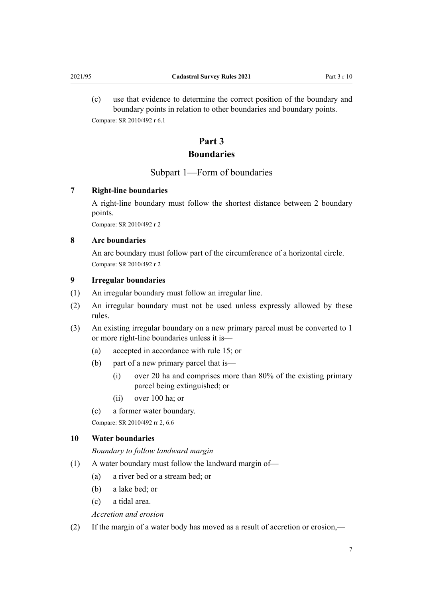<span id="page-6-0"></span>(c) use that evidence to determine the correct position of the boundary and boundary points in relation to other boundaries and boundary points. Compare: SR 2010/492 r 6.1

# **Part 3 Boundaries**

# Subpart 1—Form of boundaries

# **7 Right-line boundaries**

A right-line boundary must follow the shortest distance between 2 boundary points.

Compare: SR 2010/492 r 2

## **8 Arc boundaries**

An arc boundary must follow part of the circumference of a horizontal circle. Compare: SR 2010/492 r 2

## **9 Irregular boundaries**

- (1) An irregular boundary must follow an irregular line.
- (2) An irregular boundary must not be used unless expressly allowed by these rules.
- (3) An existing irregular boundary on a new primary parcel must be converted to 1 or more right-line boundaries unless it is—
	- (a) accepted in accordance with [rule 15](#page-8-0); or
	- (b) part of a new primary parcel that is—
		- (i) over 20 ha and comprises more than 80% of the existing primary parcel being extinguished; or
		- (ii) over 100 ha; or
	- (c) a former water boundary.

Compare: SR 2010/492 rr 2, 6.6

#### **10 Water boundaries**

*Boundary to follow landward margin*

- (1) A water boundary must follow the landward margin of—
	- (a) a river bed or a stream bed; or
	- (b) a lake bed; or
	- (c) a tidal area.

*Accretion and erosion*

(2) If the margin of a water body has moved as a result of accretion or erosion,—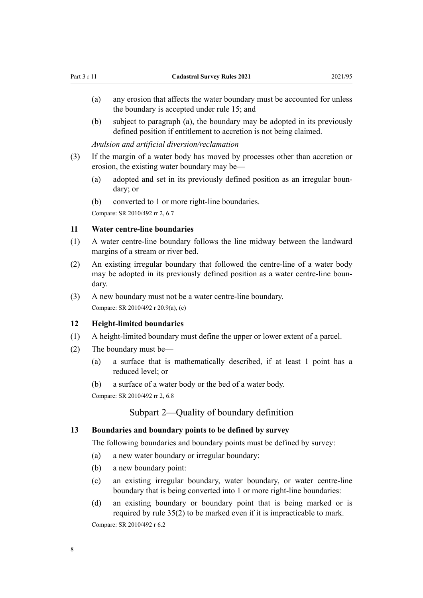- <span id="page-7-0"></span>(a) any erosion that affects the water boundary must be accounted for unless the boundary is accepted under [rule 15](#page-8-0); and
- (b) subject to paragraph (a), the boundary may be adopted in its previously defined position if entitlement to accretion is not being claimed.

*Avulsion and artificial diversion/reclamation*

- (3) If the margin of a water body has moved by processes other than accretion or erosion, the existing water boundary may be—
	- (a) adopted and set in its previously defined position as an irregular boundary; or
	- (b) converted to 1 or more right-line boundaries.

Compare: SR 2010/492 rr 2, 6.7

#### **11 Water centre-line boundaries**

- (1) A water centre-line boundary follows the line midway between the landward margins of a stream or river bed.
- (2) An existing irregular boundary that followed the centre-line of a water body may be adopted in its previously defined position as a water centre-line boundary.
- (3) A new boundary must not be a water centre-line boundary. Compare: SR 2010/492 r 20.9(a), (c)

#### **12 Height-limited boundaries**

- (1) A height-limited boundary must define the upper or lower extent of a parcel.
- (2) The boundary must be—
	- (a) a surface that is mathematically described, if at least 1 point has a reduced level; or
	- (b) a surface of a water body or the bed of a water body.

Compare: SR 2010/492 rr 2, 6.8

# Subpart 2—Quality of boundary definition

#### **13 Boundaries and boundary points to be defined by survey**

The following boundaries and boundary points must be defined by survey:

- (a) a new water boundary or irregular boundary:
- (b) a new boundary point:
- (c) an existing irregular boundary, water boundary, or water centre-line boundary that is being converted into 1 or more right-line boundaries:
- (d) an existing boundary or boundary point that is being marked or is required by [rule 35\(2\)](#page-14-0) to be marked even if it is impracticable to mark.

Compare: SR 2010/492 r 6.2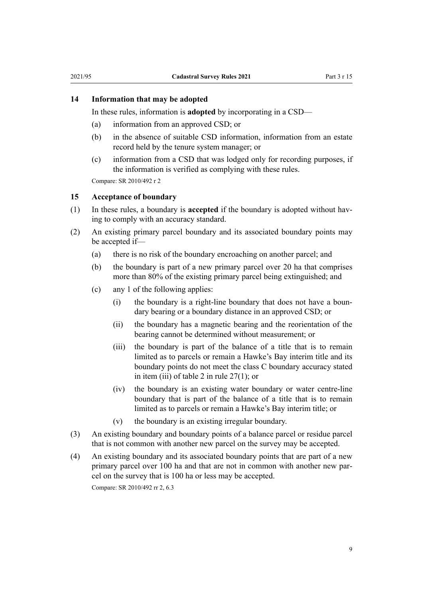#### <span id="page-8-0"></span>**14 Information that may be adopted**

In these rules, information is **adopted** by incorporating in a CSD—

- (a) information from an approved CSD; or
- (b) in the absence of suitable CSD information, information from an estate record held by the tenure system manager; or
- (c) information from a CSD that was lodged only for recording purposes, if the information is verified as complying with these rules.

Compare: SR 2010/492 r 2

#### **15 Acceptance of boundary**

- (1) In these rules, a boundary is **accepted** if the boundary is adopted without hav‐ ing to comply with an accuracy standard.
- (2) An existing primary parcel boundary and its associated boundary points may be accepted if—
	- (a) there is no risk of the boundary encroaching on another parcel; and
	- (b) the boundary is part of a new primary parcel over 20 ha that comprises more than 80% of the existing primary parcel being extinguished; and
	- (c) any 1 of the following applies:
		- (i) the boundary is a right-line boundary that does not have a boun‐ dary bearing or a boundary distance in an approved CSD; or
		- (ii) the boundary has a magnetic bearing and the reorientation of the bearing cannot be determined without measurement; or
		- (iii) the boundary is part of the balance of a title that is to remain limited as to parcels or remain a Hawke's Bay interim title and its boundary points do not meet the class C boundary accuracy stated in item (iii) of table 2 in [rule 27\(1\)](#page-12-0); or
		- (iv) the boundary is an existing water boundary or water centre-line boundary that is part of the balance of a title that is to remain limited as to parcels or remain a Hawke's Bay interim title; or
		- (v) the boundary is an existing irregular boundary.
- (3) An existing boundary and boundary points of a balance parcel or residue parcel that is not common with another new parcel on the survey may be accepted.
- (4) An existing boundary and its associated boundary points that are part of a new primary parcel over 100 ha and that are not in common with another new parcel on the survey that is 100 ha or less may be accepted.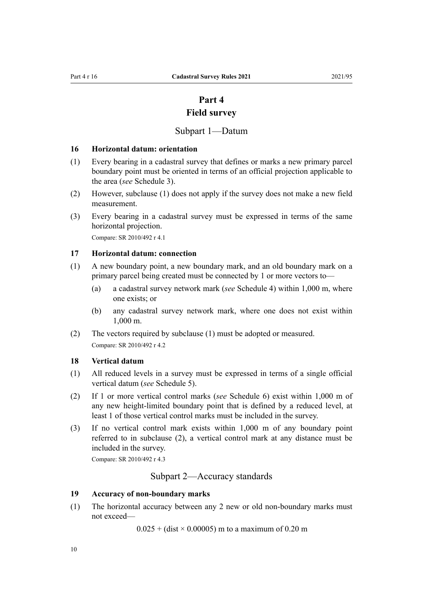# **Part 4 Field survey**

# Subpart 1—Datum

#### <span id="page-9-0"></span>**16 Horizontal datum: orientation**

- (1) Every bearing in a cadastral survey that defines or marks a new primary parcel boundary point must be oriented in terms of an official projection applicable to the area (*see* [Schedule 3](#page-52-0)).
- (2) However, subclause (1) does not apply if the survey does not make a new field measurement.
- (3) Every bearing in a cadastral survey must be expressed in terms of the same horizontal projection.

Compare: SR 2010/492 r 4.1

#### **17 Horizontal datum: connection**

- (1) A new boundary point, a new boundary mark, and an old boundary mark on a primary parcel being created must be connected by 1 or more vectors to—
	- (a) a cadastral survey network mark (*see* [Schedule 4\)](#page-53-0) within 1,000 m, where one exists; or
	- (b) any cadastral survey network mark, where one does not exist within 1,000 m.
- (2) The vectors required by subclause (1) must be adopted or measured. Compare: SR 2010/492 r 4.2

#### **18 Vertical datum**

- (1) All reduced levels in a survey must be expressed in terms of a single official vertical datum (*see* [Schedule 5](#page-54-0)).
- (2) If 1 or more vertical control marks (*see* [Schedule 6\)](#page-54-0) exist within 1,000 m of any new height-limited boundary point that is defined by a reduced level, at least 1 of those vertical control marks must be included in the survey.
- (3) If no vertical control mark exists within 1,000 m of any boundary point referred to in subclause (2), a vertical control mark at any distance must be included in the survey.

Compare: SR 2010/492 r 4.3

Subpart 2—Accuracy standards

## **19 Accuracy of non-boundary marks**

(1) The horizontal accuracy between any 2 new or old non-boundary marks must not exceed—

 $0.025 + (dist \times 0.00005)$  m to a maximum of 0.20 m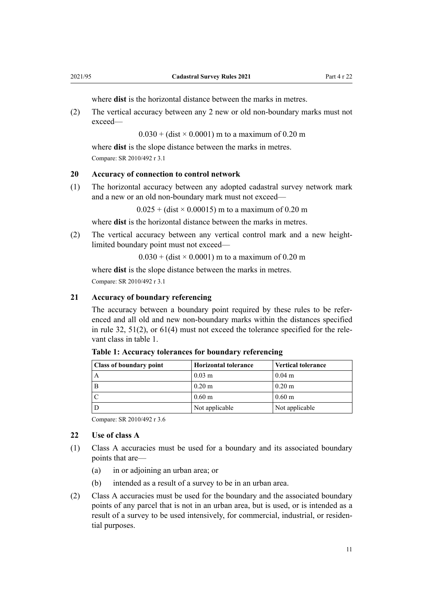where **dist** is the horizontal distance between the marks in metres.

<span id="page-10-0"></span>(2) The vertical accuracy between any 2 new or old non-boundary marks must not exceed—

 $0.030 + (dist \times 0.0001)$  m to a maximum of 0.20 m

where **dist** is the slope distance between the marks in metres. Compare: SR 2010/492 r 3.1

#### **20 Accuracy of connection to control network**

(1) The horizontal accuracy between any adopted cadastral survey network mark and a new or an old non-boundary mark must not exceed—

 $0.025 + (dist \times 0.00015)$  m to a maximum of 0.20 m

where **dist** is the horizontal distance between the marks in metres.

(2) The vertical accuracy between any vertical control mark and a new heightlimited boundary point must not exceed—

 $0.030 + (dist \times 0.0001)$  m to a maximum of 0.20 m

where **dist** is the slope distance between the marks in metres. Compare: SR 2010/492 r 3.1

#### **21 Accuracy of boundary referencing**

The accuracy between a boundary point required by these rules to be referenced and all old and new non-boundary marks within the distances specified in [rule 32](#page-13-0),  $51(2)$ , or  $61(4)$  must not exceed the tolerance specified for the relevant class in table 1.

| <b>Class of boundary point</b> | <b>Horizontal tolerance</b> | <b>Vertical tolerance</b> |
|--------------------------------|-----------------------------|---------------------------|
|                                | $0.03 \; \mathrm{m}$        | $0.04 \; \mathrm{m}$      |
|                                | $0.20 \text{ m}$            | $0.20 \text{ m}$          |
|                                | $0.60 \text{ m}$            | $0.60 \text{ m}$          |
|                                | Not applicable              | Not applicable            |

**Table 1: Accuracy tolerances for boundary referencing**

Compare: SR 2010/492 r 3.6

# **22 Use of class A**

- (1) Class A accuracies must be used for a boundary and its associated boundary points that are—
	- (a) in or adjoining an urban area; or
	- (b) intended as a result of a survey to be in an urban area.
- (2) Class A accuracies must be used for the boundary and the associated boundary points of any parcel that is not in an urban area, but is used, or is intended as a result of a survey to be used intensively, for commercial, industrial, or residen‐ tial purposes.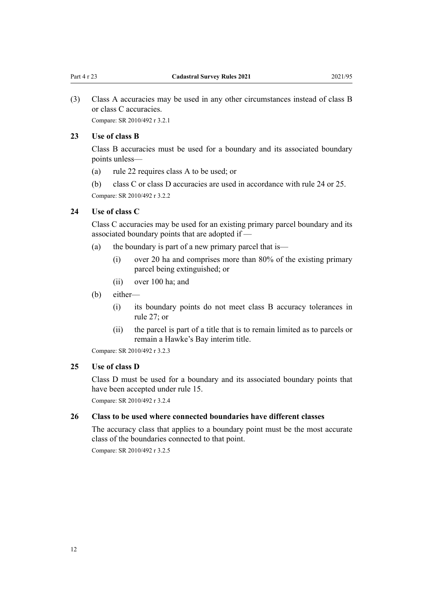<span id="page-11-0"></span>(3) Class A accuracies may be used in any other circumstances instead of class B or class C accuracies. Compare: SR 2010/492 r 3.2.1

#### **23 Use of class B**

Class B accuracies must be used for a boundary and its associated boundary points unless—

- (a) [rule 22](#page-10-0) requires class A to be used; or
- (b) class C or class D accuracies are used in accordance with rule 24 or 25.

Compare: SR 2010/492 r 3.2.2

## **24 Use of class C**

Class C accuracies may be used for an existing primary parcel boundary and its associated boundary points that are adopted if —

- (a) the boundary is part of a new primary parcel that is—
	- (i) over 20 ha and comprises more than 80% of the existing primary parcel being extinguished; or
	- (ii) over 100 ha; and
- (b) either—
	- (i) its boundary points do not meet class B accuracy tolerances in [rule 27](#page-12-0); or
	- (ii) the parcel is part of a title that is to remain limited as to parcels or remain a Hawke's Bay interim title.

Compare: SR 2010/492 r 3.2.3

#### **25 Use of class D**

Class D must be used for a boundary and its associated boundary points that have been accepted under [rule 15.](#page-8-0)

Compare: SR 2010/492 r 3.2.4

#### **26 Class to be used where connected boundaries have different classes**

The accuracy class that applies to a boundary point must be the most accurate class of the boundaries connected to that point.

Compare: SR 2010/492 r 3.2.5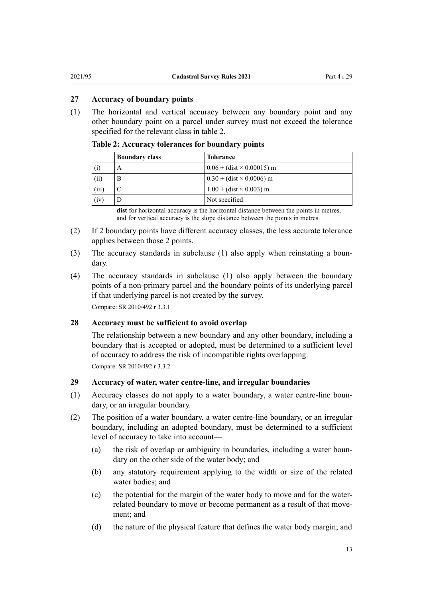#### <span id="page-12-0"></span>**27 Accuracy of boundary points**

(1) The horizontal and vertical accuracy between any boundary point and any other boundary point on a parcel under survey must not exceed the tolerance specified for the relevant class in table 2.

**Table 2: Accuracy tolerances for boundary points**

|       | <b>Boundary class</b> | <b>Tolerance</b>                 |
|-------|-----------------------|----------------------------------|
| (i)   | A                     | $0.06 + (dist \times 0.00015)$ m |
| (ii)  | B                     | $0.30 + (dist \times 0.0006)$ m  |
| (iii) |                       | $1.00 + (dist \times 0.003)$ m   |
| (iv)  | Ð                     | Not specified                    |

**dist** for horizontal accuracy is the horizontal distance between the points in metres, and for vertical accuracy is the slope distance between the points in metres.

- (2) If 2 boundary points have different accuracy classes, the less accurate tolerance applies between those 2 points.
- (3) The accuracy standards in subclause (1) also apply when reinstating a boun‐ dary.
- (4) The accuracy standards in subclause (1) also apply between the boundary points of a non-primary parcel and the boundary points of its underlying parcel if that underlying parcel is not created by the survey. Compare: SR 2010/492 r 3.3.1

#### **28 Accuracy must be sufficient to avoid overlap**

The relationship between a new boundary and any other boundary, including a boundary that is accepted or adopted, must be determined to a sufficient level of accuracy to address the risk of incompatible rights overlapping. Compare: SR 2010/492 r 3.3.2

### **29 Accuracy of water, water centre-line, and irregular boundaries**

- (1) Accuracy classes do not apply to a water boundary, a water centre-line boun‐ dary, or an irregular boundary.
- (2) The position of a water boundary, a water centre-line boundary, or an irregular boundary, including an adopted boundary, must be determined to a sufficient level of accuracy to take into account—
	- (a) the risk of overlap or ambiguity in boundaries, including a water boundary on the other side of the water body; and
	- (b) any statutory requirement applying to the width or size of the related water bodies; and
	- (c) the potential for the margin of the water body to move and for the waterrelated boundary to move or become permanent as a result of that movement; and
	- (d) the nature of the physical feature that defines the water body margin; and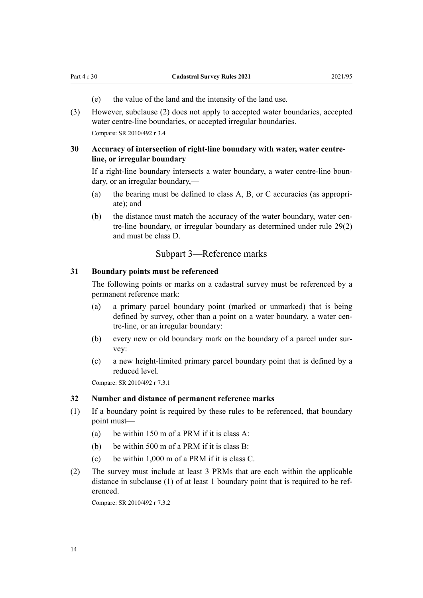- (e) the value of the land and the intensity of the land use.
- <span id="page-13-0"></span>(3) However, subclause (2) does not apply to accepted water boundaries, accepted water centre-line boundaries, or accepted irregular boundaries. Compare: SR 2010/492 r 3.4

## **30 Accuracy of intersection of right-line boundary with water, water centreline, or irregular boundary**

If a right-line boundary intersects a water boundary, a water centre-line boun‐ dary, or an irregular boundary,—

- (a) the bearing must be defined to class A, B, or C accuracies (as appropri‐ ate); and
- (b) the distance must match the accuracy of the water boundary, water centre-line boundary, or irregular boundary as determined under [rule 29\(2\)](#page-12-0) and must be class D.

# Subpart 3—Reference marks

#### **31 Boundary points must be referenced**

The following points or marks on a cadastral survey must be referenced by a permanent reference mark:

- (a) a primary parcel boundary point (marked or unmarked) that is being defined by survey, other than a point on a water boundary, a water centre-line, or an irregular boundary:
- (b) every new or old boundary mark on the boundary of a parcel under sur‐ vey:
- (c) a new height-limited primary parcel boundary point that is defined by a reduced level.

Compare: SR 2010/492 r 7.3.1

#### **32 Number and distance of permanent reference marks**

- (1) If a boundary point is required by these rules to be referenced, that boundary point must—
	- (a) be within 150 m of a PRM if it is class A:
	- (b) be within 500 m of a PRM if it is class B:
	- (c) be within 1,000 m of a PRM if it is class C.
- (2) The survey must include at least 3 PRMs that are each within the applicable distance in subclause (1) of at least 1 boundary point that is required to be referenced.

Compare: SR 2010/492 r 7.3.2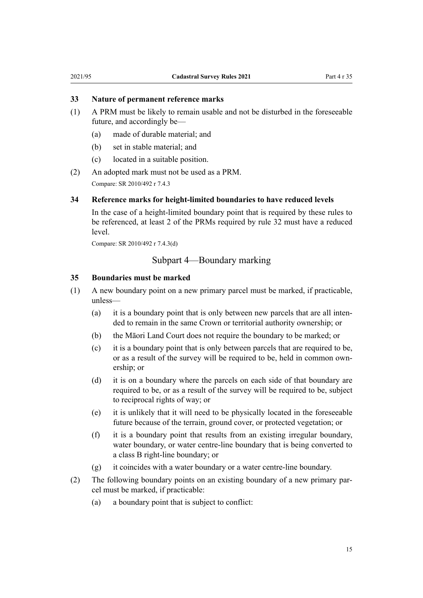#### <span id="page-14-0"></span>**33 Nature of permanent reference marks**

- (1) A PRM must be likely to remain usable and not be disturbed in the foreseeable future, and accordingly be—
	- (a) made of durable material; and
	- (b) set in stable material; and
	- (c) located in a suitable position.
- (2) An adopted mark must not be used as a PRM. Compare: SR 2010/492 r 7.4.3

### **34 Reference marks for height-limited boundaries to have reduced levels**

In the case of a height-limited boundary point that is required by these rules to be referenced, at least 2 of the PRMs required by [rule 32](#page-13-0) must have a reduced level.

Compare: SR 2010/492 r 7.4.3(d)

# Subpart 4—Boundary marking

#### **35 Boundaries must be marked**

- (1) A new boundary point on a new primary parcel must be marked, if practicable, unless—
	- (a) it is a boundary point that is only between new parcels that are all inten‐ ded to remain in the same Crown or territorial authority ownership; or
	- (b) the Māori Land Court does not require the boundary to be marked; or
	- (c) it is a boundary point that is only between parcels that are required to be, or as a result of the survey will be required to be, held in common own‐ ership; or
	- (d) it is on a boundary where the parcels on each side of that boundary are required to be, or as a result of the survey will be required to be, subject to reciprocal rights of way; or
	- (e) it is unlikely that it will need to be physically located in the foreseeable future because of the terrain, ground cover, or protected vegetation; or
	- (f) it is a boundary point that results from an existing irregular boundary, water boundary, or water centre-line boundary that is being converted to a class B right-line boundary; or
	- (g) it coincides with a water boundary or a water centre-line boundary.
- (2) The following boundary points on an existing boundary of a new primary par‐ cel must be marked, if practicable:
	- (a) a boundary point that is subject to conflict: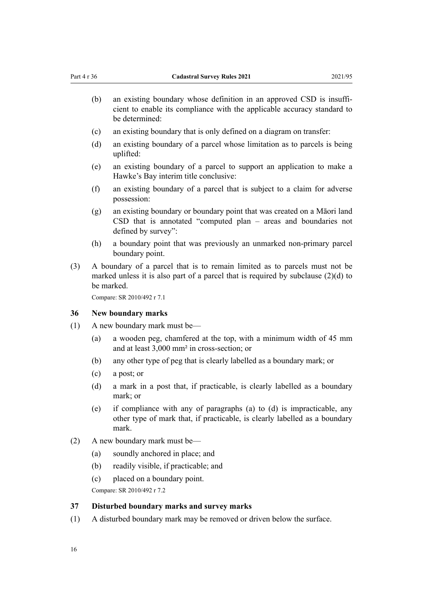- <span id="page-15-0"></span>(b) an existing boundary whose definition in an approved CSD is insufficient to enable its compliance with the applicable accuracy standard to be determined:
- (c) an existing boundary that is only defined on a diagram on transfer:
- (d) an existing boundary of a parcel whose limitation as to parcels is being uplifted:
- (e) an existing boundary of a parcel to support an application to make a Hawke's Bay interim title conclusive:
- (f) an existing boundary of a parcel that is subject to a claim for adverse possession:
- (g) an existing boundary or boundary point that was created on a Māori land CSD that is annotated "computed plan – areas and boundaries not defined by survey":
- (h) a boundary point that was previously an unmarked non-primary parcel boundary point.
- (3) A boundary of a parcel that is to remain limited as to parcels must not be marked unless it is also part of a parcel that is required by subclause (2)(d) to be marked.

Compare: SR 2010/492 r 7.1

#### **36 New boundary marks**

- (1) A new boundary mark must be—
	- (a) a wooden peg, chamfered at the top, with a minimum width of 45 mm and at least 3,000 mm² in cross-section; or
	- (b) any other type of peg that is clearly labelled as a boundary mark; or
	- (c) a post; or
	- (d) a mark in a post that, if practicable, is clearly labelled as a boundary mark; or
	- (e) if compliance with any of paragraphs (a) to (d) is impracticable, any other type of mark that, if practicable, is clearly labelled as a boundary mark.
- (2) A new boundary mark must be—
	- (a) soundly anchored in place; and
	- (b) readily visible, if practicable; and
	- (c) placed on a boundary point.

Compare: SR 2010/492 r 7.2

#### **37 Disturbed boundary marks and survey marks**

(1) A disturbed boundary mark may be removed or driven below the surface.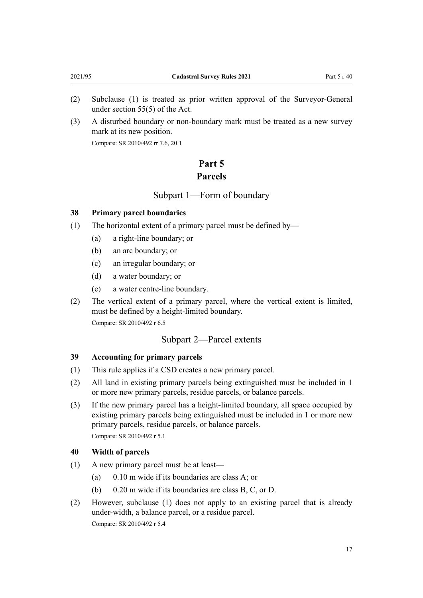- <span id="page-16-0"></span>(2) Subclause (1) is treated as prior written approval of the Surveyor-General under [section 55\(5\)](http://legislation.govt.nz/pdflink.aspx?id=DLM142608) of the Act.
- (3) A disturbed boundary or non-boundary mark must be treated as a new survey mark at its new position.

Compare: SR 2010/492 rr 7.6, 20.1

# **Part 5 Parcels**

Subpart 1—Form of boundary

## **38 Primary parcel boundaries**

- (1) The horizontal extent of a primary parcel must be defined by—
	- (a) a right-line boundary; or
	- (b) an arc boundary; or
	- (c) an irregular boundary; or
	- (d) a water boundary; or
	- (e) a water centre-line boundary.
- (2) The vertical extent of a primary parcel, where the vertical extent is limited, must be defined by a height-limited boundary. Compare: SR 2010/492 r 6.5

# Subpart 2—Parcel extents

#### **39 Accounting for primary parcels**

- (1) This rule applies if a CSD creates a new primary parcel.
- (2) All land in existing primary parcels being extinguished must be included in 1 or more new primary parcels, residue parcels, or balance parcels.
- (3) If the new primary parcel has a height-limited boundary, all space occupied by existing primary parcels being extinguished must be included in 1 or more new primary parcels, residue parcels, or balance parcels. Compare: SR 2010/492 r 5.1

#### **40 Width of parcels**

- (1) A new primary parcel must be at least—
	- (a) 0.10 m wide if its boundaries are class A; or
	- (b) 0.20 m wide if its boundaries are class B, C, or D.
- (2) However, subclause (1) does not apply to an existing parcel that is already under-width, a balance parcel, or a residue parcel. Compare: SR 2010/492 r 5.4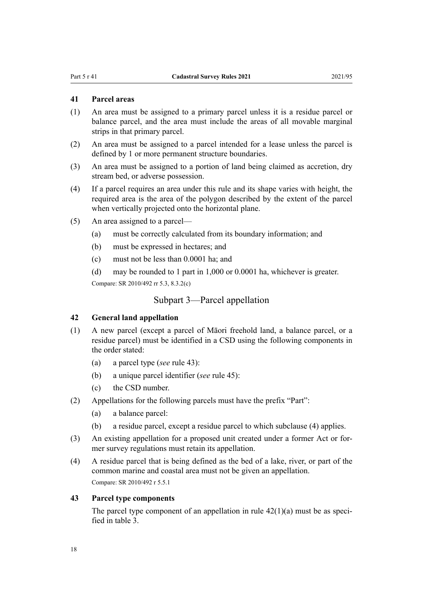# <span id="page-17-0"></span>**41 Parcel areas**

- (1) An area must be assigned to a primary parcel unless it is a residue parcel or balance parcel, and the area must include the areas of all movable marginal strips in that primary parcel.
- (2) An area must be assigned to a parcel intended for a lease unless the parcel is defined by 1 or more permanent structure boundaries.
- (3) An area must be assigned to a portion of land being claimed as accretion, dry stream bed, or adverse possession.
- (4) If a parcel requires an area under this rule and its shape varies with height, the required area is the area of the polygon described by the extent of the parcel when vertically projected onto the horizontal plane.
- (5) An area assigned to a parcel—
	- (a) must be correctly calculated from its boundary information; and
	- (b) must be expressed in hectares; and
	- (c) must not be less than 0.0001 ha; and
	- (d) may be rounded to 1 part in 1,000 or 0.0001 ha, whichever is greater.

Compare: SR 2010/492 rr 5.3, 8.3.2(c)

## Subpart 3—Parcel appellation

#### **42 General land appellation**

- (1) A new parcel (except a parcel of Māori freehold land, a balance parcel, or a residue parcel) must be identified in a CSD using the following components in the order stated:
	- (a) a parcel type (*see* rule 43):
	- (b) a unique parcel identifier (*see* [rule 45\)](#page-18-0):
	- (c) the CSD number.
- (2) Appellations for the following parcels must have the prefix "Part":
	- (a) a balance parcel:
	- (b) a residue parcel, except a residue parcel to which subclause (4) applies.
- (3) An existing appellation for a proposed unit created under a former Act or for‐ mer survey regulations must retain its appellation.
- (4) A residue parcel that is being defined as the bed of a lake, river, or part of the common marine and coastal area must not be given an appellation. Compare: SR 2010/492 r 5.5.1

#### **43 Parcel type components**

The parcel type component of an appellation in rule  $42(1)(a)$  must be as specified in table 3.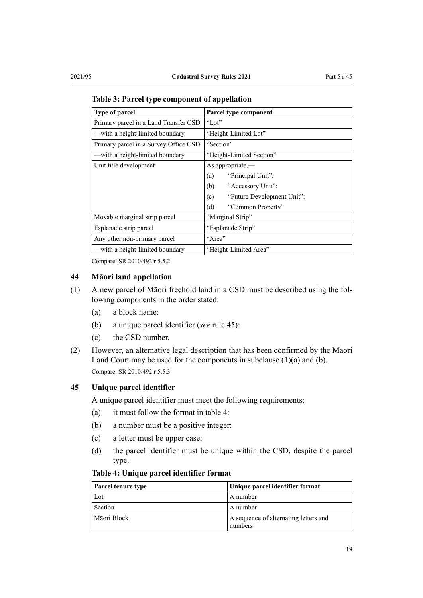| <b>Type of parcel</b>                 | Parcel type component             |  |
|---------------------------------------|-----------------------------------|--|
| Primary parcel in a Land Transfer CSD | "Lot"                             |  |
| —with a height-limited boundary       | "Height-Limited Lot"              |  |
| Primary parcel in a Survey Office CSD | "Section"                         |  |
| -with a height-limited boundary       | "Height-Limited Section"          |  |
| Unit title development                | As appropriate,-                  |  |
|                                       | "Principal Unit":<br>(a)          |  |
|                                       | "Accessory Unit":<br>(b)          |  |
|                                       | "Future Development Unit":<br>(c) |  |
|                                       | (d)<br>"Common Property"          |  |
| Movable marginal strip parcel         | "Marginal Strip"                  |  |
| Esplanade strip parcel                | "Esplanade Strip"                 |  |
| Any other non-primary parcel          | "Area"                            |  |
| -with a height-limited boundary       | "Height-Limited Area"             |  |

<span id="page-18-0"></span>**Table 3: Parcel type component of appellation**

Compare: SR 2010/492 r 5.5.2

# **44 Māori land appellation**

- (1) A new parcel of Māori freehold land in a CSD must be described using the fol‐ lowing components in the order stated:
	- (a) a block name:
	- (b) a unique parcel identifier (*see* rule 45):
	- (c) the CSD number.
- (2) However, an alternative legal description that has been confirmed by the Māori Land Court may be used for the components in subclause (1)(a) and (b). Compare: SR 2010/492 r 5.5.3

#### **45 Unique parcel identifier**

A unique parcel identifier must meet the following requirements:

- (a) it must follow the format in table 4:
- (b) a number must be a positive integer:
- (c) a letter must be upper case:
- (d) the parcel identifier must be unique within the CSD, despite the parcel type.

### **Table 4: Unique parcel identifier format**

| <b>Parcel tenure type</b> | Unique parcel identifier format                  |
|---------------------------|--------------------------------------------------|
| Lot                       | A number                                         |
| Section                   | A number                                         |
| Māori Block               | A sequence of alternating letters and<br>numbers |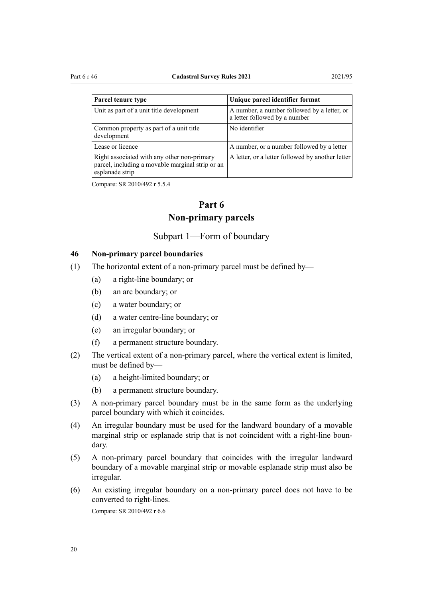<span id="page-19-0"></span>

| Parcel tenure type                                                                              | Unique parcel identifier format                                              |
|-------------------------------------------------------------------------------------------------|------------------------------------------------------------------------------|
| Unit as part of a unit title development                                                        | A number, a number followed by a letter, or<br>a letter followed by a number |
| Common property as part of a unit title<br>development                                          | No identifier                                                                |
| Lease or licence                                                                                | A number, or a number followed by a letter                                   |
| Right associated with any other non-primary<br>parcel, including a movable marginal strip or an | A letter, or a letter followed by another letter                             |

Compare: SR 2010/492 r 5.5.4

esplanade strip

# **Part 6 Non-primary parcels**

## Subpart 1—Form of boundary

### **46 Non-primary parcel boundaries**

- (1) The horizontal extent of a non-primary parcel must be defined by—
	- (a) a right-line boundary; or
	- (b) an arc boundary; or
	- (c) a water boundary; or
	- (d) a water centre-line boundary; or
	- (e) an irregular boundary; or
	- (f) a permanent structure boundary.
- (2) The vertical extent of a non-primary parcel, where the vertical extent is limited, must be defined by—
	- (a) a height-limited boundary; or
	- (b) a permanent structure boundary.
- (3) A non-primary parcel boundary must be in the same form as the underlying parcel boundary with which it coincides.
- (4) An irregular boundary must be used for the landward boundary of a movable marginal strip or esplanade strip that is not coincident with a right-line boun‐ dary.
- (5) A non-primary parcel boundary that coincides with the irregular landward boundary of a movable marginal strip or movable esplanade strip must also be irregular.
- (6) An existing irregular boundary on a non-primary parcel does not have to be converted to right-lines.

Compare: SR 2010/492 r 6.6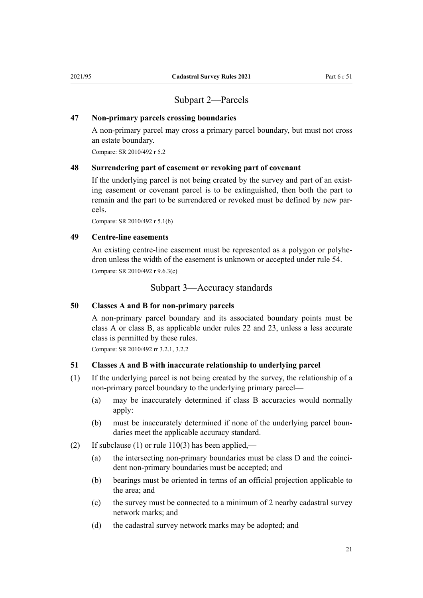# Subpart 2—Parcels

#### <span id="page-20-0"></span>**47 Non-primary parcels crossing boundaries**

A non-primary parcel may cross a primary parcel boundary, but must not cross an estate boundary.

Compare: SR 2010/492 r 5.2

#### **48 Surrendering part of easement or revoking part of covenant**

If the underlying parcel is not being created by the survey and part of an existing easement or covenant parcel is to be extinguished, then both the part to remain and the part to be surrendered or revoked must be defined by new parcels.

Compare: SR 2010/492 r 5.1(b)

# **49 Centre-line easements**

An existing centre-line easement must be represented as a polygon or polyhedron unless the width of the easement is unknown or accepted under [rule 54.](#page-22-0) Compare: SR 2010/492 r 9.6.3(c)

Subpart 3—Accuracy standards

#### **50 Classes A and B for non-primary parcels**

A non-primary parcel boundary and its associated boundary points must be class A or class B, as applicable under [rules 22](#page-10-0) and [23,](#page-11-0) unless a less accurate class is permitted by these rules.

Compare: SR 2010/492 rr 3.2.1, 3.2.2

#### **51 Classes A and B with inaccurate relationship to underlying parcel**

- (1) If the underlying parcel is not being created by the survey, the relationship of a non-primary parcel boundary to the underlying primary parcel—
	- (a) may be inaccurately determined if class B accuracies would normally apply:
	- (b) must be inaccurately determined if none of the underlying parcel boun‐ daries meet the applicable accuracy standard.
- (2) If subclause (1) or rule  $110(3)$  has been applied,—
	- (a) the intersecting non-primary boundaries must be class D and the coincident non-primary boundaries must be accepted; and
	- (b) bearings must be oriented in terms of an official projection applicable to the area; and
	- (c) the survey must be connected to a minimum of 2 nearby cadastral survey network marks; and
	- (d) the cadastral survey network marks may be adopted; and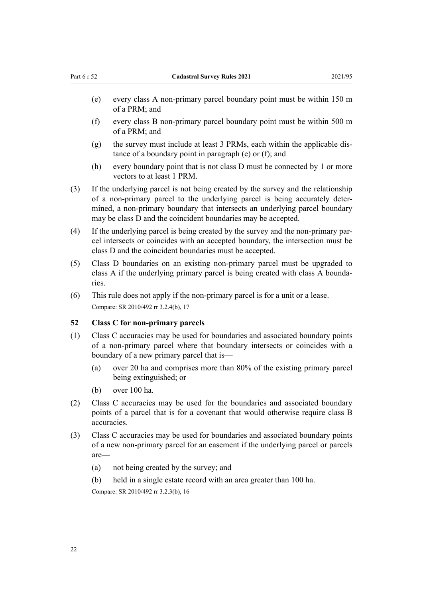- <span id="page-21-0"></span>(e) every class A non-primary parcel boundary point must be within 150 m of a PRM; and
- (f) every class B non-primary parcel boundary point must be within 500 m of a PRM; and
- $(g)$  the survey must include at least 3 PRMs, each within the applicable distance of a boundary point in paragraph (e) or (f); and
- (h) every boundary point that is not class D must be connected by 1 or more vectors to at least 1 PRM.
- (3) If the underlying parcel is not being created by the survey and the relationship of a non-primary parcel to the underlying parcel is being accurately deter‐ mined, a non-primary boundary that intersects an underlying parcel boundary may be class D and the coincident boundaries may be accepted.
- (4) If the underlying parcel is being created by the survey and the non-primary par‐ cel intersects or coincides with an accepted boundary, the intersection must be class D and the coincident boundaries must be accepted.
- (5) Class D boundaries on an existing non-primary parcel must be upgraded to class A if the underlying primary parcel is being created with class A boundaries.
- (6) This rule does not apply if the non-primary parcel is for a unit or a lease. Compare: SR 2010/492 rr 3.2.4(b), 17

## **52 Class C for non-primary parcels**

- (1) Class C accuracies may be used for boundaries and associated boundary points of a non-primary parcel where that boundary intersects or coincides with a boundary of a new primary parcel that is—
	- (a) over 20 ha and comprises more than 80% of the existing primary parcel being extinguished; or
	- (b) over 100 ha.
- (2) Class C accuracies may be used for the boundaries and associated boundary points of a parcel that is for a covenant that would otherwise require class B accuracies.
- (3) Class C accuracies may be used for boundaries and associated boundary points of a new non-primary parcel for an easement if the underlying parcel or parcels are—
	- (a) not being created by the survey; and
	- (b) held in a single estate record with an area greater than 100 ha.

Compare: SR 2010/492 rr 3.2.3(b), 16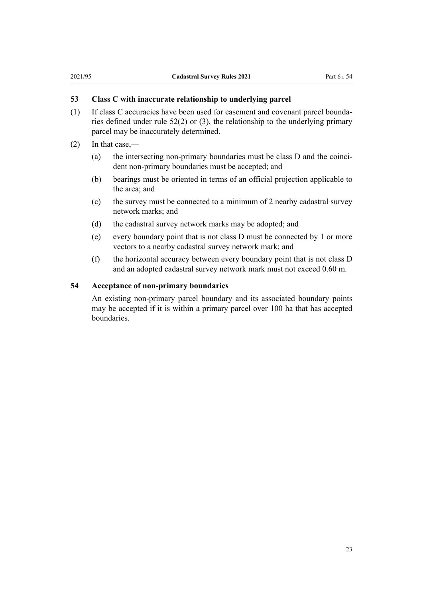# <span id="page-22-0"></span>**53 Class C with inaccurate relationship to underlying parcel**

- (1) If class C accuracies have been used for easement and covenant parcel bounda‐ ries defined under rule 52(2) or (3), the relationship to the underlying primary parcel may be inaccurately determined.
- (2) In that case,—
	- (a) the intersecting non-primary boundaries must be class  $D$  and the coincident non-primary boundaries must be accepted; and
	- (b) bearings must be oriented in terms of an official projection applicable to the area; and
	- (c) the survey must be connected to a minimum of 2 nearby cadastral survey network marks; and
	- (d) the cadastral survey network marks may be adopted; and
	- (e) every boundary point that is not class D must be connected by 1 or more vectors to a nearby cadastral survey network mark; and
	- (f) the horizontal accuracy between every boundary point that is not class D and an adopted cadastral survey network mark must not exceed 0.60 m.

#### **54 Acceptance of non-primary boundaries**

An existing non-primary parcel boundary and its associated boundary points may be accepted if it is within a primary parcel over 100 ha that has accepted boundaries.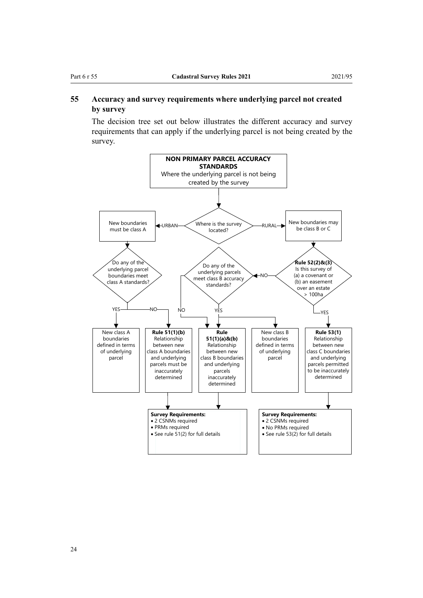# <span id="page-23-0"></span>**55 Accuracy and survey requirements where underlying parcel not created by survey**

The decision tree set out below illustrates the different accuracy and survey requirements that can apply if the underlying parcel is not being created by the survey.

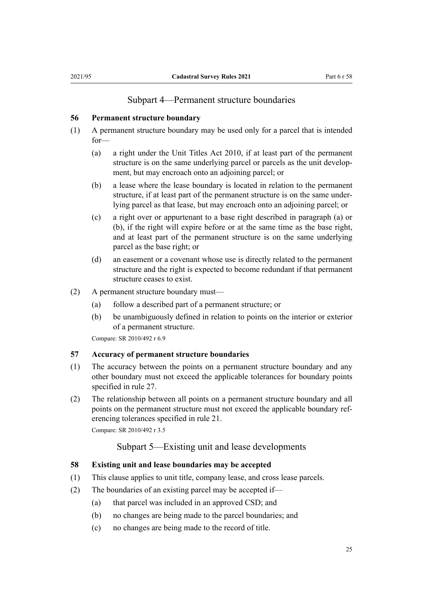# Subpart 4—Permanent structure boundaries

#### <span id="page-24-0"></span>**56 Permanent structure boundary**

- (1) A permanent structure boundary may be used only for a parcel that is intended for—
	- (a) a right under the [Unit Titles Act 2010](http://legislation.govt.nz/pdflink.aspx?id=DLM1160400), if at least part of the permanent structure is on the same underlying parcel or parcels as the unit development, but may encroach onto an adjoining parcel; or
	- (b) a lease where the lease boundary is located in relation to the permanent structure, if at least part of the permanent structure is on the same under‐ lying parcel as that lease, but may encroach onto an adjoining parcel; or
	- (c) a right over or appurtenant to a base right described in paragraph (a) or (b), if the right will expire before or at the same time as the base right, and at least part of the permanent structure is on the same underlying parcel as the base right; or
	- (d) an easement or a covenant whose use is directly related to the permanent structure and the right is expected to become redundant if that permanent structure ceases to exist.
- (2) A permanent structure boundary must—
	- (a) follow a described part of a permanent structure; or
	- (b) be unambiguously defined in relation to points on the interior or exterior of a permanent structure.

Compare: SR 2010/492 r 6.9

# **57 Accuracy of permanent structure boundaries**

- (1) The accuracy between the points on a permanent structure boundary and any other boundary must not exceed the applicable tolerances for boundary points specified in [rule 27.](#page-12-0)
- (2) The relationship between all points on a permanent structure boundary and all points on the permanent structure must not exceed the applicable boundary ref‐ erencing tolerances specified in [rule 21.](#page-10-0)

Compare: SR 2010/492 r 3.5

# Subpart 5—Existing unit and lease developments

## **58 Existing unit and lease boundaries may be accepted**

- (1) This clause applies to unit title, company lease, and cross lease parcels.
- (2) The boundaries of an existing parcel may be accepted if—
	- (a) that parcel was included in an approved CSD; and
	- (b) no changes are being made to the parcel boundaries; and
	- (c) no changes are being made to the record of title.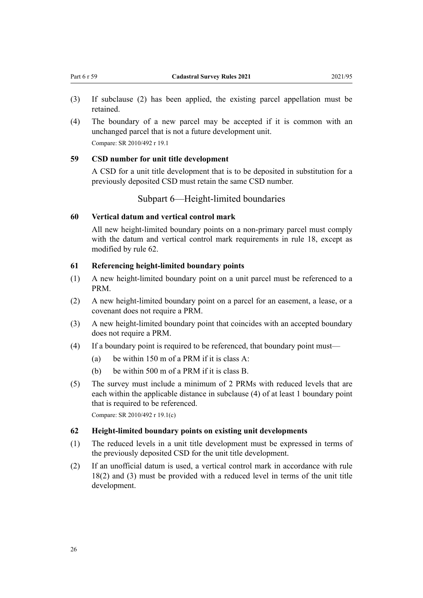- <span id="page-25-0"></span>(3) If subclause (2) has been applied, the existing parcel appellation must be retained.
- (4) The boundary of a new parcel may be accepted if it is common with an unchanged parcel that is not a future development unit. Compare: SR 2010/492 r 19.1

#### **59 CSD number for unit title development**

A CSD for a unit title development that is to be deposited in substitution for a previously deposited CSD must retain the same CSD number.

## Subpart 6—Height-limited boundaries

#### **60 Vertical datum and vertical control mark**

All new height-limited boundary points on a non-primary parcel must comply with the datum and vertical control mark requirements in rule 18, except as modified by rule 62.

#### **61 Referencing height-limited boundary points**

- (1) A new height-limited boundary point on a unit parcel must be referenced to a PRM.
- (2) A new height-limited boundary point on a parcel for an easement, a lease, or a covenant does not require a PRM.
- (3) A new height-limited boundary point that coincides with an accepted boundary does not require a PRM.
- (4) If a boundary point is required to be referenced, that boundary point must—
	- (a) be within 150 m of a PRM if it is class A:
	- (b) be within 500 m of a PRM if it is class B.
- (5) The survey must include a minimum of 2 PRMs with reduced levels that are each within the applicable distance in subclause (4) of at least 1 boundary point that is required to be referenced.

Compare: SR 2010/492 r 19.1(c)

### **62 Height-limited boundary points on existing unit developments**

- (1) The reduced levels in a unit title development must be expressed in terms of the previously deposited CSD for the unit title development.
- (2) If an unofficial datum is used, a vertical control mark in accordance with [rule](#page-9-0) [18\(2\) and \(3\)](#page-9-0) must be provided with a reduced level in terms of the unit title development.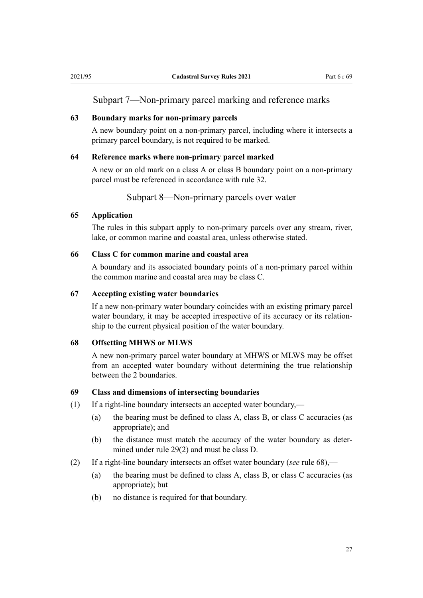# <span id="page-26-0"></span>Subpart 7—Non-primary parcel marking and reference marks

#### **63 Boundary marks for non-primary parcels**

A new boundary point on a non-primary parcel, including where it intersects a primary parcel boundary, is not required to be marked.

#### **64 Reference marks where non-primary parcel marked**

A new or an old mark on a class A or class B boundary point on a non-primary parcel must be referenced in accordance with [rule 32.](#page-13-0)

#### Subpart 8—Non-primary parcels over water

# **65 Application**

The rules in this subpart apply to non-primary parcels over any stream, river, lake, or common marine and coastal area, unless otherwise stated.

#### **66 Class C for common marine and coastal area**

A boundary and its associated boundary points of a non-primary parcel within the common marine and coastal area may be class C.

#### **67 Accepting existing water boundaries**

If a new non-primary water boundary coincides with an existing primary parcel water boundary, it may be accepted irrespective of its accuracy or its relationship to the current physical position of the water boundary.

#### **68 Offsetting MHWS or MLWS**

A new non-primary parcel water boundary at MHWS or MLWS may be offset from an accepted water boundary without determining the true relationship between the 2 boundaries.

## **69 Class and dimensions of intersecting boundaries**

- (1) If a right-line boundary intersects an accepted water boundary,—
	- (a) the bearing must be defined to class A, class B, or class C accuracies (as appropriate); and
	- (b) the distance must match the accuracy of the water boundary as determined under [rule 29\(2\)](#page-12-0) and must be class D.
- (2) If a right-line boundary intersects an offset water boundary (*see* rule 68),—
	- (a) the bearing must be defined to class A, class B, or class C accuracies (as appropriate); but
	- (b) no distance is required for that boundary.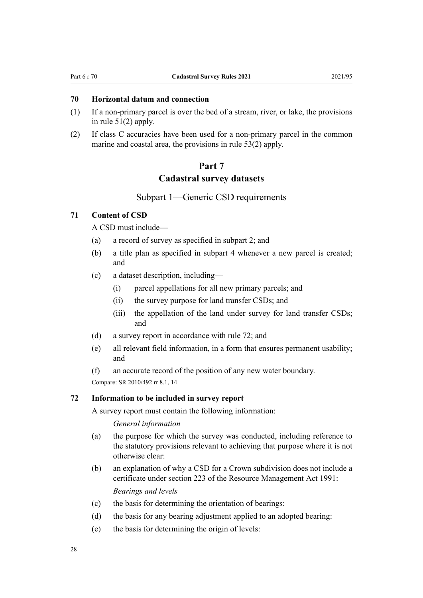## <span id="page-27-0"></span>**70 Horizontal datum and connection**

- (1) If a non-primary parcel is over the bed of a stream, river, or lake, the provisions in [rule 51\(2\)](#page-20-0) apply.
- (2) If class C accuracies have been used for a non-primary parcel in the common marine and coastal area, the provisions in [rule 53\(2\)](#page-22-0) apply.

# **Part 7 Cadastral survey datasets**

#### Subpart 1—Generic CSD requirements

# **71 Content of CSD**

A CSD must include—

- (a) a record of survey as specified in [subpart 2;](#page-29-0) and
- (b) a title plan as specified in subpart 4 whenever a new parcel is created; and
- (c) a dataset description, including—
	- (i) parcel appellations for all new primary parcels; and
	- (ii) the survey purpose for land transfer CSDs; and
	- (iii) the appellation of the land under survey for land transfer CSDs; and
- (d) a survey report in accordance with rule 72; and
- (e) all relevant field information, in a form that ensures permanent usability; and
- (f) an accurate record of the position of any new water boundary.

Compare: SR 2010/492 rr 8.1, 14

#### **72 Information to be included in survey report**

A survey report must contain the following information:

*General information*

- (a) the purpose for which the survey was conducted, including reference to the statutory provisions relevant to achieving that purpose where it is not otherwise clear:
- (b) an explanation of why a CSD for a Crown subdivision does not include a certificate under [section 223](http://legislation.govt.nz/pdflink.aspx?id=DLM237213) of the Resource Management Act 1991: *Bearings and levels*

(c) the basis for determining the orientation of bearings:

- (d) the basis for any bearing adjustment applied to an adopted bearing:
- (e) the basis for determining the origin of levels: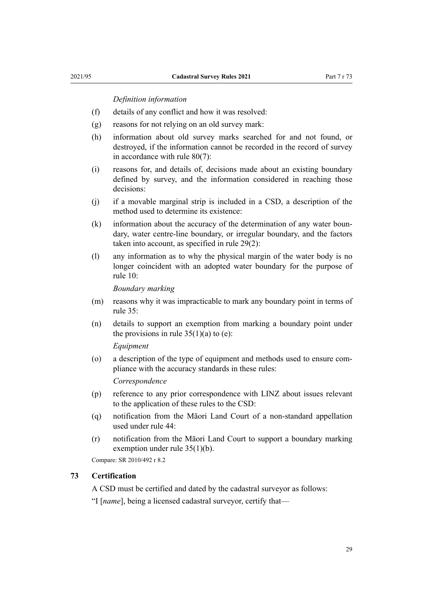#### *Definition information*

- <span id="page-28-0"></span>(f) details of any conflict and how it was resolved:
- (g) reasons for not relying on an old survey mark:
- (h) information about old survey marks searched for and not found, or destroyed, if the information cannot be recorded in the record of survey in accordance with rule 80(7):
- (i) reasons for, and details of, decisions made about an existing boundary defined by survey, and the information considered in reaching those decisions:
- (j) if a movable marginal strip is included in a CSD, a description of the method used to determine its existence:
- (k) information about the accuracy of the determination of any water boundary, water centre-line boundary, or irregular boundary, and the factors taken into account, as specified in [rule 29\(2\):](#page-12-0)
- (l) any information as to why the physical margin of the water body is no longer coincident with an adopted water boundary for the purpose of [rule 10](#page-6-0):

*Boundary marking*

- (m) reasons why it was impracticable to mark any boundary point in terms of [rule 35](#page-14-0):
- (n) details to support an exemption from marking a boundary point under the provisions in rule  $35(1)(a)$  to (e):

*Equipment*

(o) a description of the type of equipment and methods used to ensure com‐ pliance with the accuracy standards in these rules:

*Correspondence*

- (p) reference to any prior correspondence with LINZ about issues relevant to the application of these rules to the CSD:
- (q) notification from the Māori Land Court of a non-standard appellation used under [rule 44](#page-18-0):
- (r) notification from the Māori Land Court to support a boundary marking exemption under [rule 35\(1\)\(b\).](#page-14-0)

Compare: SR 2010/492 r 8.2

#### **73 Certification**

A CSD must be certified and dated by the cadastral surveyor as follows:

"I [*name*], being a licensed cadastral surveyor, certify that—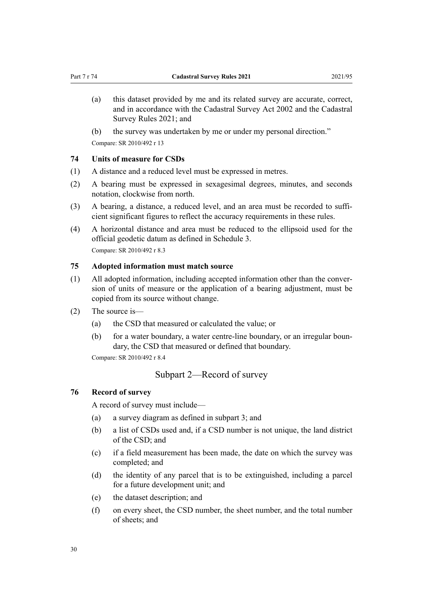- <span id="page-29-0"></span>(a) this dataset provided by me and its related survey are accurate, correct, and in accordance with the [Cadastral Survey Act 2002](http://legislation.govt.nz/pdflink.aspx?id=DLM141994) and the [Cadastral](#page-0-0) [Survey Rules 2021;](#page-0-0) and
- (b) the survey was undertaken by me or under my personal direction."

Compare: SR 2010/492 r 13

# **74 Units of measure for CSDs**

- (1) A distance and a reduced level must be expressed in metres.
- (2) A bearing must be expressed in sexagesimal degrees, minutes, and seconds notation, clockwise from north.
- (3) A bearing, a distance, a reduced level, and an area must be recorded to sufficient significant figures to reflect the accuracy requirements in these rules.
- (4) A horizontal distance and area must be reduced to the ellipsoid used for the official geodetic datum as defined in [Schedule 3.](#page-52-0) Compare: SR 2010/492 r 8.3

## **75 Adopted information must match source**

- (1) All adopted information, including accepted information other than the conver‐ sion of units of measure or the application of a bearing adjustment, must be copied from its source without change.
- (2) The source is—
	- (a) the CSD that measured or calculated the value; or
	- (b) for a water boundary, a water centre-line boundary, or an irregular boundary, the CSD that measured or defined that boundary.

Compare: SR 2010/492 r 8.4

# Subpart 2—Record of survey

#### **76 Record of survey**

A record of survey must include—

- (a) a survey diagram as defined in subpart 3; and
- (b) a list of CSDs used and, if a CSD number is not unique, the land district of the CSD; and
- (c) if a field measurement has been made, the date on which the survey was completed; and
- (d) the identity of any parcel that is to be extinguished, including a parcel for a future development unit; and
- (e) the dataset description; and
- (f) on every sheet, the CSD number, the sheet number, and the total number of sheets; and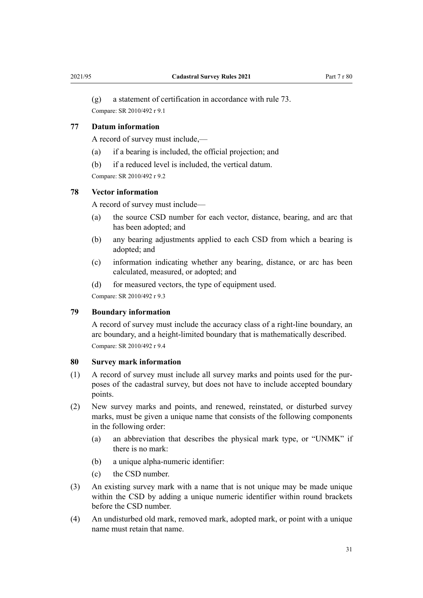<span id="page-30-0"></span>

(g) a statement of certification in accordance with [rule 73.](#page-28-0) Compare: SR 2010/492 r 9.1

#### **77 Datum information**

A record of survey must include,—

- (a) if a bearing is included, the official projection; and
- (b) if a reduced level is included, the vertical datum.

Compare: SR 2010/492 r 9.2

#### **78 Vector information**

A record of survey must include—

- (a) the source CSD number for each vector, distance, bearing, and arc that has been adopted; and
- (b) any bearing adjustments applied to each CSD from which a bearing is adopted; and
- (c) information indicating whether any bearing, distance, or arc has been calculated, measured, or adopted; and
- (d) for measured vectors, the type of equipment used.

Compare: SR 2010/492 r 9.3

#### **79 Boundary information**

A record of survey must include the accuracy class of a right-line boundary, an arc boundary, and a height-limited boundary that is mathematically described. Compare: SR 2010/492 r 9.4

#### **80 Survey mark information**

- (1) A record of survey must include all survey marks and points used for the pur‐ poses of the cadastral survey, but does not have to include accepted boundary points.
- (2) New survey marks and points, and renewed, reinstated, or disturbed survey marks, must be given a unique name that consists of the following components in the following order:
	- (a) an abbreviation that describes the physical mark type, or "UNMK" if there is no mark:
	- (b) a unique alpha-numeric identifier:
	- (c) the CSD number.
- (3) An existing survey mark with a name that is not unique may be made unique within the CSD by adding a unique numeric identifier within round brackets before the CSD number.
- (4) An undisturbed old mark, removed mark, adopted mark, or point with a unique name must retain that name.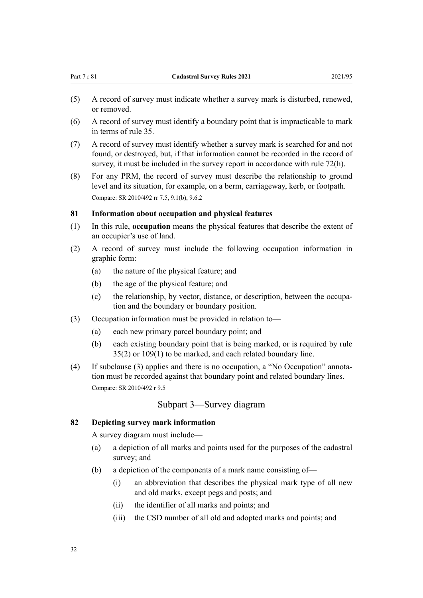- <span id="page-31-0"></span>(5) A record of survey must indicate whether a survey mark is disturbed, renewed, or removed.
- (6) A record of survey must identify a boundary point that is impracticable to mark in terms of [rule 35](#page-14-0).
- (7) A record of survey must identify whether a survey mark is searched for and not found, or destroyed, but, if that information cannot be recorded in the record of survey, it must be included in the survey report in accordance with [rule 72\(h\).](#page-27-0)
- (8) For any PRM, the record of survey must describe the relationship to ground level and its situation, for example, on a berm, carriageway, kerb, or footpath. Compare: SR 2010/492 rr 7.5, 9.1(b), 9.6.2

#### **81 Information about occupation and physical features**

- (1) In this rule, **occupation** means the physical features that describe the extent of an occupier's use of land.
- (2) A record of survey must include the following occupation information in graphic form:
	- (a) the nature of the physical feature; and
	- (b) the age of the physical feature; and
	- (c) the relationship, by vector, distance, or description, between the occupa‐ tion and the boundary or boundary position.
- (3) Occupation information must be provided in relation to—
	- (a) each new primary parcel boundary point; and
	- (b) each existing boundary point that is being marked, or is required by [rule](#page-14-0) [35\(2\)](#page-14-0) or [109\(1\)](#page-40-0) to be marked, and each related boundary line.
- (4) If subclause (3) applies and there is no occupation, a "No Occupation" annota‐ tion must be recorded against that boundary point and related boundary lines. Compare: SR 2010/492 r 9.5

#### Subpart 3—Survey diagram

#### **82 Depicting survey mark information**

A survey diagram must include—

- (a) a depiction of all marks and points used for the purposes of the cadastral survey; and
- (b) a depiction of the components of a mark name consisting of—
	- (i) an abbreviation that describes the physical mark type of all new and old marks, except pegs and posts; and
	- (ii) the identifier of all marks and points; and
	- (iii) the CSD number of all old and adopted marks and points; and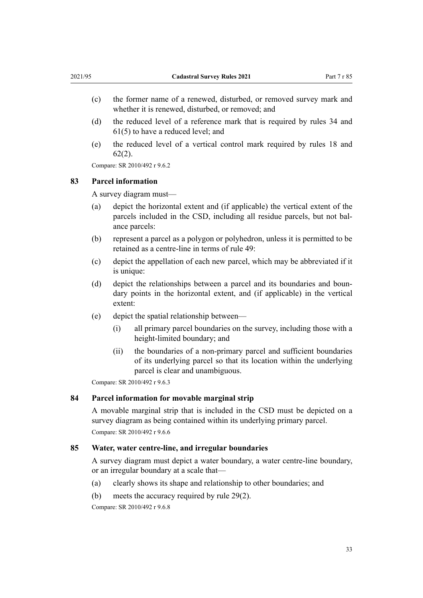- <span id="page-32-0"></span>(c) the former name of a renewed, disturbed, or removed survey mark and whether it is renewed, disturbed, or removed; and
- (d) the reduced level of a reference mark that is required by [rules 34](#page-14-0) and [61\(5\)](#page-25-0) to have a reduced level; and
- (e) the reduced level of a vertical control mark required by [rules 18](#page-9-0) and [62\(2\)](#page-25-0).

Compare: SR 2010/492 r 9.6.2

#### **83 Parcel information**

A survey diagram must—

- (a) depict the horizontal extent and (if applicable) the vertical extent of the parcels included in the CSD, including all residue parcels, but not balance parcels:
- (b) represent a parcel as a polygon or polyhedron, unless it is permitted to be retained as a centre-line in terms of [rule 49:](#page-20-0)
- (c) depict the appellation of each new parcel, which may be abbreviated if it is unique:
- (d) depict the relationships between a parcel and its boundaries and boundary points in the horizontal extent, and (if applicable) in the vertical extent:
- (e) depict the spatial relationship between—
	- (i) all primary parcel boundaries on the survey, including those with a height-limited boundary; and
	- (ii) the boundaries of a non-primary parcel and sufficient boundaries of its underlying parcel so that its location within the underlying parcel is clear and unambiguous.

Compare: SR 2010/492 r 9.6.3

#### **84 Parcel information for movable marginal strip**

A movable marginal strip that is included in the CSD must be depicted on a survey diagram as being contained within its underlying primary parcel. Compare: SR 2010/492 r 9.6.6

#### **85 Water, water centre-line, and irregular boundaries**

A survey diagram must depict a water boundary, a water centre-line boundary, or an irregular boundary at a scale that—

- (a) clearly shows its shape and relationship to other boundaries; and
- (b) meets the accuracy required by [rule 29\(2\).](#page-12-0)

Compare: SR 2010/492 r 9.6.8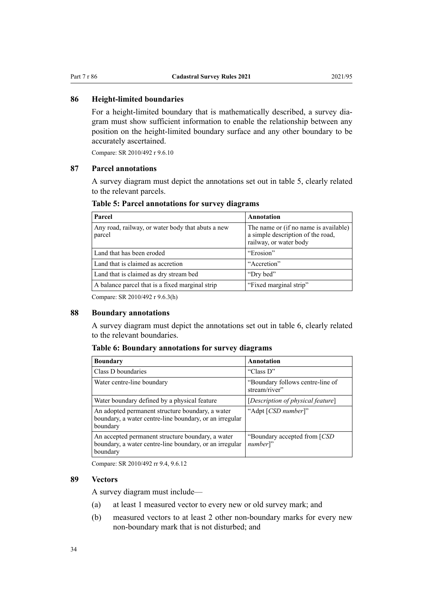#### <span id="page-33-0"></span>**86 Height-limited boundaries**

For a height-limited boundary that is mathematically described, a survey diagram must show sufficient information to enable the relationship between any position on the height-limited boundary surface and any other boundary to be accurately ascertained.

Compare: SR 2010/492 r 9.6.10

#### **87 Parcel annotations**

A survey diagram must depict the annotations set out in table 5, clearly related to the relevant parcels.

| Parcel                                                      | Annotation                                                                                           |
|-------------------------------------------------------------|------------------------------------------------------------------------------------------------------|
| Any road, railway, or water body that abuts a new<br>parcel | The name or (if no name is available)<br>a simple description of the road,<br>railway, or water body |
| Land that has been eroded                                   | "Erosion"                                                                                            |
| Land that is claimed as accretion                           | "Accretion"                                                                                          |
| Land that is claimed as dry stream bed                      | "Dry bed"                                                                                            |
| A balance parcel that is a fixed marginal strip             | "Fixed marginal strip"                                                                               |

# **Table 5: Parcel annotations for survey diagrams**

Compare: SR 2010/492 r 9.6.3(h)

#### **88 Boundary annotations**

A survey diagram must depict the annotations set out in table 6, clearly related to the relevant boundaries.

#### **Table 6: Boundary annotations for survey diagrams**

| <b>Boundary</b>                                                                                                          | Annotation                                        |
|--------------------------------------------------------------------------------------------------------------------------|---------------------------------------------------|
| Class D boundaries                                                                                                       | "Class D"                                         |
| Water centre-line boundary                                                                                               | "Boundary follows centre-line of<br>stream/river" |
| Water boundary defined by a physical feature                                                                             | [Description of physical feature]                 |
| An adopted permanent structure boundary, a water<br>boundary, a water centre-line boundary, or an irregular<br>boundary  | "Adpt [CSD number]"                               |
| An accepted permanent structure boundary, a water<br>boundary, a water centre-line boundary, or an irregular<br>boundary | "Boundary accepted from [CSD]<br>number]"         |

Compare: SR 2010/492 rr 9.4, 9.6.12

#### **89 Vectors**

A survey diagram must include—

- (a) at least 1 measured vector to every new or old survey mark; and
- (b) measured vectors to at least 2 other non-boundary marks for every new non-boundary mark that is not disturbed; and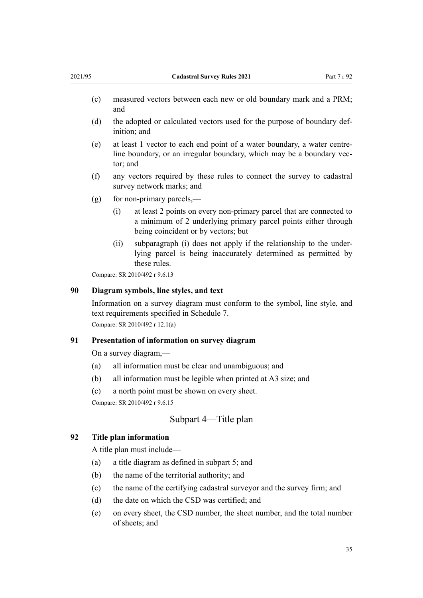- <span id="page-34-0"></span>(c) measured vectors between each new or old boundary mark and a PRM; and
- (d) the adopted or calculated vectors used for the purpose of boundary def‐ inition; and
- (e) at least 1 vector to each end point of a water boundary, a water centreline boundary, or an irregular boundary, which may be a boundary vector; and
- (f) any vectors required by these rules to connect the survey to cadastral survey network marks; and
- $(g)$  for non-primary parcels,—
	- (i) at least 2 points on every non-primary parcel that are connected to a minimum of 2 underlying primary parcel points either through being coincident or by vectors; but
	- (ii) subparagraph (i) does not apply if the relationship to the under‐ lying parcel is being inaccurately determined as permitted by these rules.

Compare: SR 2010/492 r 9.6.13

#### **90 Diagram symbols, line styles, and text**

Information on a survey diagram must conform to the symbol, line style, and text requirements specified in [Schedule 7](#page-55-0). Compare: SR 2010/492 r 12.1(a)

#### **91 Presentation of information on survey diagram**

On a survey diagram,—

- (a) all information must be clear and unambiguous; and
- (b) all information must be legible when printed at A3 size; and
- (c) a north point must be shown on every sheet.

Compare: SR 2010/492 r 9.6.15

## Subpart 4—Title plan

## **92 Title plan information**

A title plan must include—

- (a) a title diagram as defined in [subpart 5;](#page-36-0) and
- (b) the name of the territorial authority; and
- (c) the name of the certifying cadastral surveyor and the survey firm; and
- (d) the date on which the CSD was certified; and
- (e) on every sheet, the CSD number, the sheet number, and the total number of sheets; and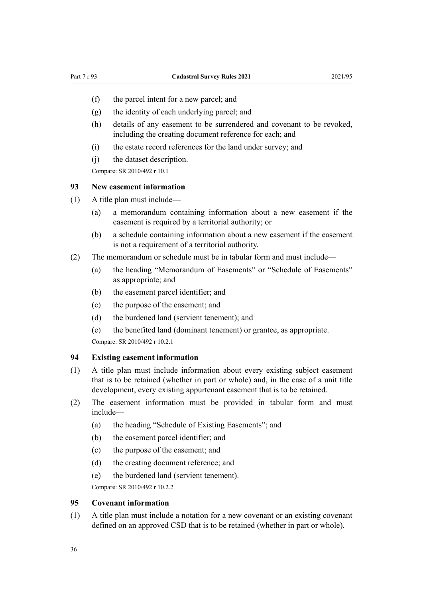- <span id="page-35-0"></span>(f) the parcel intent for a new parcel; and
- (g) the identity of each underlying parcel; and
- (h) details of any easement to be surrendered and covenant to be revoked, including the creating document reference for each; and
- (i) the estate record references for the land under survey; and
- (j) the dataset description.

Compare: SR 2010/492 r 10.1

#### **93 New easement information**

- (1) A title plan must include—
	- (a) a memorandum containing information about a new easement if the easement is required by a territorial authority; or
	- (b) a schedule containing information about a new easement if the easement is not a requirement of a territorial authority.
- (2) The memorandum or schedule must be in tabular form and must include—
	- (a) the heading "Memorandum of Easements" or "Schedule of Easements" as appropriate; and
	- (b) the easement parcel identifier; and
	- (c) the purpose of the easement; and
	- (d) the burdened land (servient tenement); and
	- (e) the benefited land (dominant tenement) or grantee, as appropriate.

Compare: SR 2010/492 r 10.2.1

### **94 Existing easement information**

- (1) A title plan must include information about every existing subject easement that is to be retained (whether in part or whole) and, in the case of a unit title development, every existing appurtenant easement that is to be retained.
- (2) The easement information must be provided in tabular form and must include—
	- (a) the heading "Schedule of Existing Easements"; and
	- (b) the easement parcel identifier; and
	- (c) the purpose of the easement; and
	- (d) the creating document reference; and
	- (e) the burdened land (servient tenement).

Compare: SR 2010/492 r 10.2.2

#### **95 Covenant information**

(1) A title plan must include a notation for a new covenant or an existing covenant defined on an approved CSD that is to be retained (whether in part or whole).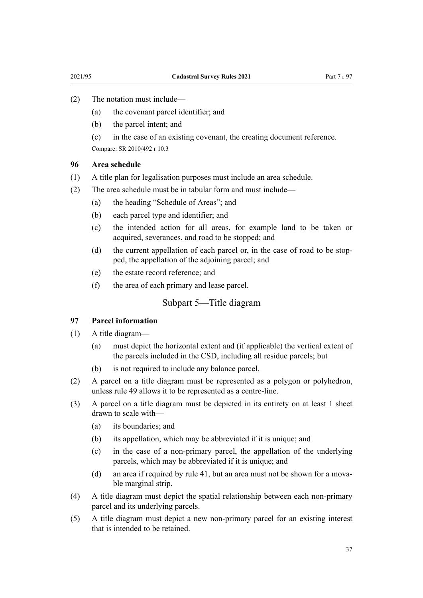- <span id="page-36-0"></span>(2) The notation must include—
	- (a) the covenant parcel identifier; and
	- (b) the parcel intent; and

(c) in the case of an existing covenant, the creating document reference. Compare: SR 2010/492 r 10.3

#### **96 Area schedule**

- (1) A title plan for legalisation purposes must include an area schedule.
- (2) The area schedule must be in tabular form and must include—
	- (a) the heading "Schedule of Areas"; and
	- (b) each parcel type and identifier; and
	- (c) the intended action for all areas, for example land to be taken or acquired, severances, and road to be stopped; and
	- (d) the current appellation of each parcel or, in the case of road to be stopped, the appellation of the adjoining parcel; and
	- (e) the estate record reference; and
	- (f) the area of each primary and lease parcel.

## Subpart 5—Title diagram

#### **97 Parcel information**

- (1) A title diagram—
	- (a) must depict the horizontal extent and (if applicable) the vertical extent of the parcels included in the CSD, including all residue parcels; but
	- (b) is not required to include any balance parcel.
- (2) A parcel on a title diagram must be represented as a polygon or polyhedron, unless [rule 49](#page-20-0) allows it to be represented as a centre-line.
- (3) A parcel on a title diagram must be depicted in its entirety on at least 1 sheet drawn to scale with—
	- (a) its boundaries; and
	- (b) its appellation, which may be abbreviated if it is unique; and
	- (c) in the case of a non-primary parcel, the appellation of the underlying parcels, which may be abbreviated if it is unique; and
	- (d) an area if required by [rule 41](#page-17-0), but an area must not be shown for a movable marginal strip.
- (4) A title diagram must depict the spatial relationship between each non-primary parcel and its underlying parcels.
- (5) A title diagram must depict a new non-primary parcel for an existing interest that is intended to be retained.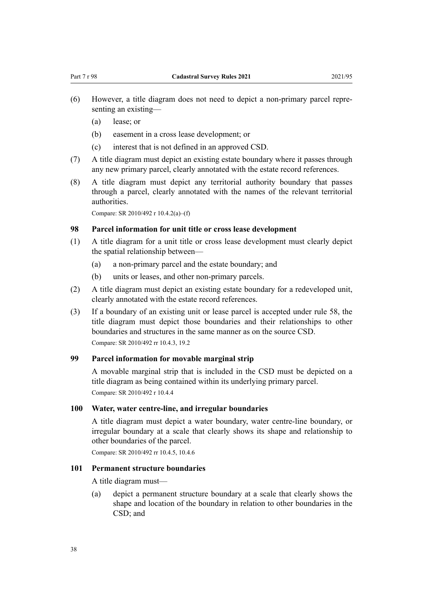- <span id="page-37-0"></span>(6) However, a title diagram does not need to depict a non-primary parcel repre‐ senting an existing—
	- (a) lease; or
	- (b) easement in a cross lease development; or
	- (c) interest that is not defined in an approved CSD.
- (7) A title diagram must depict an existing estate boundary where it passes through any new primary parcel, clearly annotated with the estate record references.
- (8) A title diagram must depict any territorial authority boundary that passes through a parcel, clearly annotated with the names of the relevant territorial authorities.

Compare: SR 2010/492 r 10.4.2(a)–(f)

# **98 Parcel information for unit title or cross lease development**

- (1) A title diagram for a unit title or cross lease development must clearly depict the spatial relationship between—
	- (a) a non-primary parcel and the estate boundary; and
	- (b) units or leases, and other non-primary parcels.
- (2) A title diagram must depict an existing estate boundary for a redeveloped unit, clearly annotated with the estate record references.
- (3) If a boundary of an existing unit or lease parcel is accepted under [rule 58](#page-24-0), the title diagram must depict those boundaries and their relationships to other boundaries and structures in the same manner as on the source CSD. Compare: SR 2010/492 rr 10.4.3, 19.2

#### **99 Parcel information for movable marginal strip**

A movable marginal strip that is included in the CSD must be depicted on a title diagram as being contained within its underlying primary parcel. Compare: SR 2010/492 r 10.4.4

#### **100 Water, water centre-line, and irregular boundaries**

A title diagram must depict a water boundary, water centre-line boundary, or irregular boundary at a scale that clearly shows its shape and relationship to other boundaries of the parcel.

Compare: SR 2010/492 rr 10.4.5, 10.4.6

#### **101 Permanent structure boundaries**

A title diagram must—

(a) depict a permanent structure boundary at a scale that clearly shows the shape and location of the boundary in relation to other boundaries in the CSD; and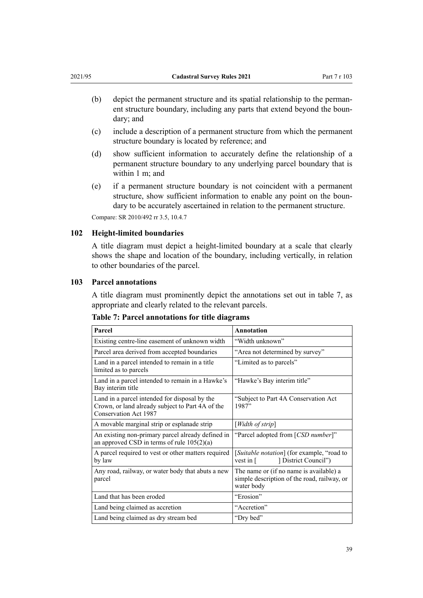- <span id="page-38-0"></span>(b) depict the permanent structure and its spatial relationship to the permanent structure boundary, including any parts that extend beyond the boundary; and
- (c) include a description of a permanent structure from which the permanent structure boundary is located by reference; and
- (d) show sufficient information to accurately define the relationship of a permanent structure boundary to any underlying parcel boundary that is within 1 m; and
- (e) if a permanent structure boundary is not coincident with a permanent structure, show sufficient information to enable any point on the boun‐ dary to be accurately ascertained in relation to the permanent structure.

Compare: SR 2010/492 rr 3.5, 10.4.7

#### **102 Height-limited boundaries**

A title diagram must depict a height-limited boundary at a scale that clearly shows the shape and location of the boundary, including vertically, in relation to other boundaries of the parcel.

#### **103 Parcel annotations**

A title diagram must prominently depict the annotations set out in table 7, as appropriate and clearly related to the relevant parcels.

| Parcel                                                                                                                     | Annotation                                                                                           |
|----------------------------------------------------------------------------------------------------------------------------|------------------------------------------------------------------------------------------------------|
| Existing centre-line easement of unknown width                                                                             | "Width unknown"                                                                                      |
| Parcel area derived from accepted boundaries                                                                               | "Area not determined by survey"                                                                      |
| Land in a parcel intended to remain in a title<br>limited as to parcels                                                    | "Limited as to parcels"                                                                              |
| Land in a parcel intended to remain in a Hawke's<br>Bay interim title                                                      | "Hawke's Bay interim title"                                                                          |
| Land in a parcel intended for disposal by the<br>Crown, or land already subject to Part 4A of the<br>Conservation Act 1987 | "Subject to Part 4A Conservation Act<br>1987"                                                        |
| A movable marginal strip or esplanade strip                                                                                | [Width of strip]                                                                                     |
| An existing non-primary parcel already defined in<br>an approved CSD in terms of rule $105(2)(a)$                          | "Parcel adopted from [CSD number]"                                                                   |
| A parcel required to vest or other matters required<br>by law                                                              | [Suitable notation] (for example, "road to<br>[District Council"]<br>vest in $\lceil$                |
| Any road, railway, or water body that abuts a new<br>parcel                                                                | The name or (if no name is available) a<br>simple description of the road, railway, or<br>water body |
| Land that has been eroded                                                                                                  | "Erosion"                                                                                            |
| Land being claimed as accretion                                                                                            | "Accretion"                                                                                          |
| Land being claimed as dry stream bed                                                                                       | "Dry bed"                                                                                            |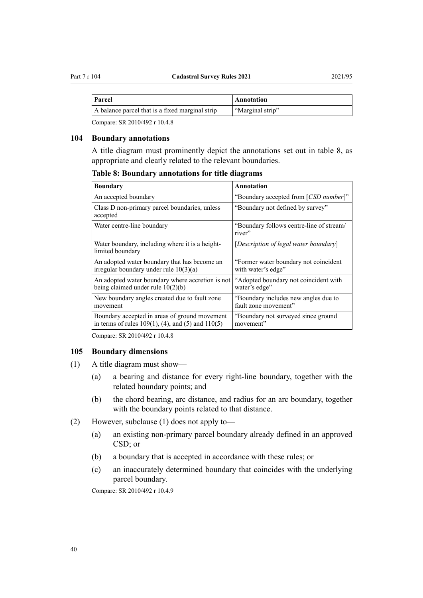<span id="page-39-0"></span>

| Parcel | Annotation |
|--------|------------|

| A balance parcel that is a fixed marginal strip | "Marginal strip" |
|-------------------------------------------------|------------------|
| $CD 2010/102 - 1010$                            |                  |

Compare: SR 2010/492 r 10.4.8

#### **104 Boundary annotations**

A title diagram must prominently depict the annotations set out in table 8, as appropriate and clearly related to the relevant boundaries.

**Table 8: Boundary annotations for title diagrams**

| Boundary                                                                                                | Annotation                                                   |  |
|---------------------------------------------------------------------------------------------------------|--------------------------------------------------------------|--|
| An accepted boundary                                                                                    | "Boundary accepted from [CSD number]"                        |  |
| Class D non-primary parcel boundaries, unless<br>accepted                                               | "Boundary not defined by survey"                             |  |
| Water centre-line boundary                                                                              | "Boundary follows centre-line of stream/<br>river"           |  |
| Water boundary, including where it is a height-<br>limited boundary                                     | [Description of legal water boundary]                        |  |
| An adopted water boundary that has become an<br>irregular boundary under rule $10(3)(a)$                | "Former water boundary not coincident"<br>with water's edge" |  |
| An adopted water boundary where accretion is not<br>being claimed under rule $10(2)(b)$                 | "Adopted boundary not coincident with<br>water's edge"       |  |
| New boundary angles created due to fault zone<br>movement                                               | "Boundary includes new angles due to<br>fault zone movement" |  |
| Boundary accepted in areas of ground movement<br>in terms of rules $109(1)$ , (4), and (5) and $110(5)$ | "Boundary not surveyed since ground"<br>movement"            |  |

Compare: SR 2010/492 r 10.4.8

#### **105 Boundary dimensions**

- (1) A title diagram must show—
	- (a) a bearing and distance for every right-line boundary, together with the related boundary points; and
	- (b) the chord bearing, arc distance, and radius for an arc boundary, together with the boundary points related to that distance.
- (2) However, subclause (1) does not apply to—
	- (a) an existing non-primary parcel boundary already defined in an approved CSD; or
	- (b) a boundary that is accepted in accordance with these rules; or
	- (c) an inaccurately determined boundary that coincides with the underlying parcel boundary.

Compare: SR 2010/492 r 10.4.9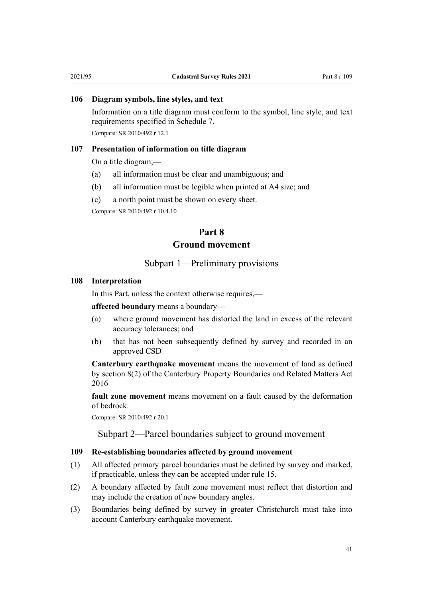## <span id="page-40-0"></span>**106 Diagram symbols, line styles, and text**

Information on a title diagram must conform to the symbol, line style, and text requirements specified in [Schedule 7](#page-55-0). Compare: SR 2010/492 r 12.1

#### **107 Presentation of information on title diagram**

On a title diagram,—

- (a) all information must be clear and unambiguous; and
- (b) all information must be legible when printed at A4 size; and
- (c) a north point must be shown on every sheet.

Compare: SR 2010/492 r 10.4.10

# **Part 8 Ground movement**

## Subpart 1—Preliminary provisions

#### **108 Interpretation**

In this Part, unless the context otherwise requires,—

**affected boundary** means a boundary—

- (a) where ground movement has distorted the land in excess of the relevant accuracy tolerances; and
- (b) that has not been subsequently defined by survey and recorded in an approved CSD

**Canterbury earthquake movement** means the movement of land as defined by [section 8\(2\)](http://legislation.govt.nz/pdflink.aspx?id=DLM6634528) of the Canterbury Property Boundaries and Related Matters Act 2016

**fault zone movement** means movement on a fault caused by the deformation of bedrock.

Compare: SR 2010/492 r 20.1

Subpart 2—Parcel boundaries subject to ground movement

#### **109 Re-establishing boundaries affected by ground movement**

- (1) All affected primary parcel boundaries must be defined by survey and marked, if practicable, unless they can be accepted under [rule 15.](#page-8-0)
- (2) A boundary affected by fault zone movement must reflect that distortion and may include the creation of new boundary angles.
- (3) Boundaries being defined by survey in greater Christchurch must take into account Canterbury earthquake movement.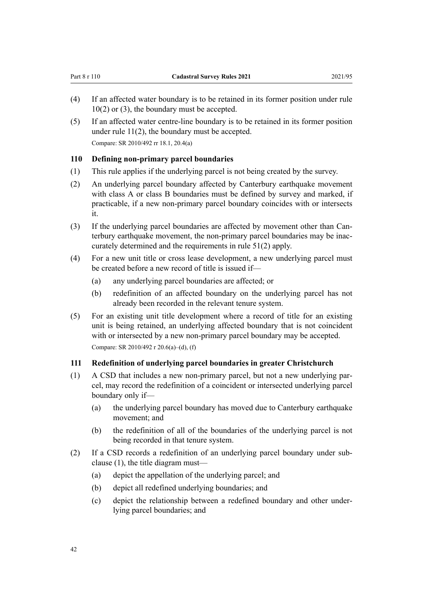- <span id="page-41-0"></span>(4) If an affected water boundary is to be retained in its former position under [rule](#page-6-0) [10\(2\) or \(3\),](#page-6-0) the boundary must be accepted.
- (5) If an affected water centre-line boundary is to be retained in its former position under [rule 11\(2\),](#page-7-0) the boundary must be accepted. Compare: SR 2010/492 rr 18.1, 20.4(a)

#### **110 Defining non-primary parcel boundaries**

- (1) This rule applies if the underlying parcel is not being created by the survey.
- (2) An underlying parcel boundary affected by Canterbury earthquake movement with class A or class B boundaries must be defined by survey and marked, if practicable, if a new non-primary parcel boundary coincides with or intersects it.
- (3) If the underlying parcel boundaries are affected by movement other than Canterbury earthquake movement, the non-primary parcel boundaries may be inac‐ curately determined and the requirements in [rule 51\(2\)](#page-20-0) apply.
- (4) For a new unit title or cross lease development, a new underlying parcel must be created before a new record of title is issued if—
	- (a) any underlying parcel boundaries are affected; or
	- (b) redefinition of an affected boundary on the underlying parcel has not already been recorded in the relevant tenure system.
- (5) For an existing unit title development where a record of title for an existing unit is being retained, an underlying affected boundary that is not coincident with or intersected by a new non-primary parcel boundary may be accepted. Compare: SR 2010/492 r 20.6(a)–(d), (f)

#### **111 Redefinition of underlying parcel boundaries in greater Christchurch**

- (1) A CSD that includes a new non-primary parcel, but not a new underlying par‐ cel, may record the redefinition of a coincident or intersected underlying parcel boundary only if—
	- (a) the underlying parcel boundary has moved due to Canterbury earthquake movement; and
	- (b) the redefinition of all of the boundaries of the underlying parcel is not being recorded in that tenure system.
- (2) If a CSD records a redefinition of an underlying parcel boundary under sub‐ clause (1), the title diagram must—
	- (a) depict the appellation of the underlying parcel; and
	- (b) depict all redefined underlying boundaries; and
	- (c) depict the relationship between a redefined boundary and other under‐ lying parcel boundaries; and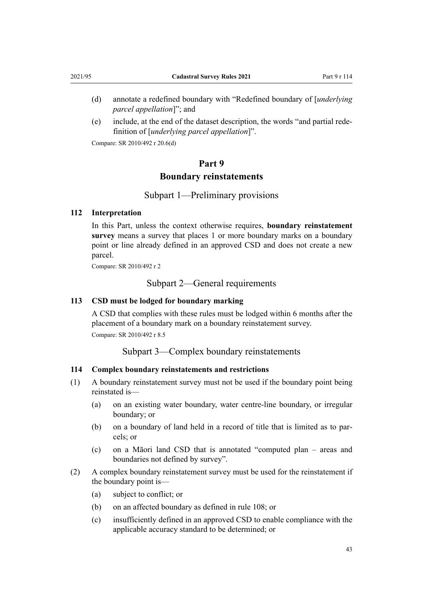- <span id="page-42-0"></span>(d) annotate a redefined boundary with "Redefined boundary of [*underlying parcel appellation*]"; and
- (e) include, at the end of the dataset description, the words "and partial rede‐ finition of [*underlying parcel appellation*]".

Compare: SR 2010/492 r 20.6(d)

# **Part 9 Boundary reinstatements**

Subpart 1—Preliminary provisions

#### **112 Interpretation**

In this Part, unless the context otherwise requires, **boundary reinstatement survey** means a survey that places 1 or more boundary marks on a boundary point or line already defined in an approved CSD and does not create a new parcel.

Compare: SR 2010/492 r 2

Subpart 2—General requirements

## **113 CSD must be lodged for boundary marking**

A CSD that complies with these rules must be lodged within 6 months after the placement of a boundary mark on a boundary reinstatement survey. Compare: SR 2010/492 r 8.5

Subpart 3—Complex boundary reinstatements

## **114 Complex boundary reinstatements and restrictions**

- (1) A boundary reinstatement survey must not be used if the boundary point being reinstated is—
	- (a) on an existing water boundary, water centre-line boundary, or irregular boundary; or
	- (b) on a boundary of land held in a record of title that is limited as to par‐ cels; or
	- (c) on a Māori land CSD that is annotated "computed plan areas and boundaries not defined by survey".
- (2) A complex boundary reinstatement survey must be used for the reinstatement if the boundary point is—
	- (a) subject to conflict; or
	- (b) on an affected boundary as defined in [rule 108;](#page-40-0) or
	- (c) insufficiently defined in an approved CSD to enable compliance with the applicable accuracy standard to be determined; or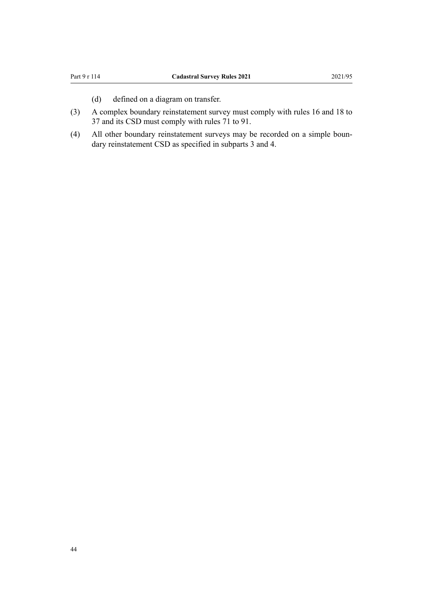- (d) defined on a diagram on transfer.
- (3) A complex boundary reinstatement survey must comply with [rules 16](#page-9-0) and [18 to](#page-9-0) [37](#page-9-0) and its CSD must comply with [rules 71 to 91.](#page-27-0)
- (4) All other boundary reinstatement surveys may be recorded on a simple boun‐ dary reinstatement CSD as specified in [subparts 3](#page-42-0) and [4](#page-45-0).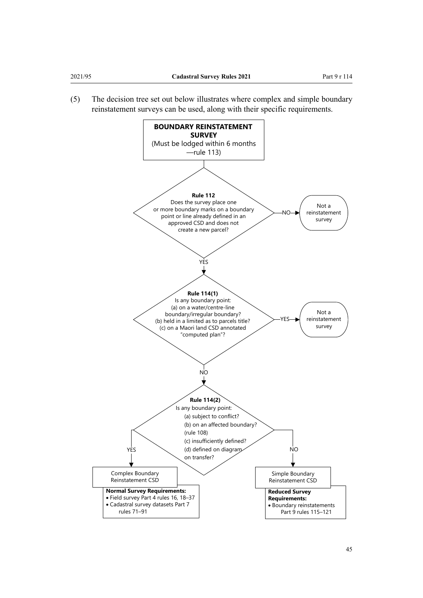(5) The decision tree set out below illustrates where complex and simple boundary reinstatement surveys can be used, along with their specific requirements.

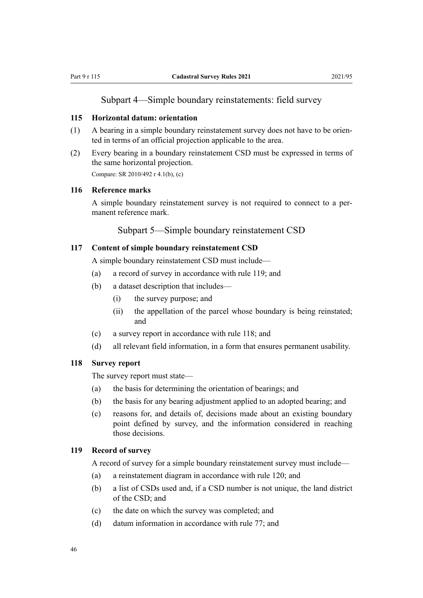# Subpart 4—Simple boundary reinstatements: field survey

### <span id="page-45-0"></span>**115 Horizontal datum: orientation**

- (1) A bearing in a simple boundary reinstatement survey does not have to be oriented in terms of an official projection applicable to the area.
- (2) Every bearing in a boundary reinstatement CSD must be expressed in terms of the same horizontal projection. Compare: SR 2010/492 r 4.1(b), (c)

#### **116 Reference marks**

A simple boundary reinstatement survey is not required to connect to a per‐ manent reference mark.

Subpart 5—Simple boundary reinstatement CSD

#### **117 Content of simple boundary reinstatement CSD**

A simple boundary reinstatement CSD must include—

- (a) a record of survey in accordance with rule 119; and
- (b) a dataset description that includes—
	- (i) the survey purpose; and
	- (ii) the appellation of the parcel whose boundary is being reinstated; and
- (c) a survey report in accordance with rule 118; and
- (d) all relevant field information, in a form that ensures permanent usability.

## **118 Survey report**

The survey report must state—

- (a) the basis for determining the orientation of bearings; and
- (b) the basis for any bearing adjustment applied to an adopted bearing; and
- (c) reasons for, and details of, decisions made about an existing boundary point defined by survey, and the information considered in reaching those decisions.

#### **119 Record of survey**

A record of survey for a simple boundary reinstatement survey must include—

- (a) a reinstatement diagram in accordance with [rule 120](#page-46-0); and
- (b) a list of CSDs used and, if a CSD number is not unique, the land district of the CSD; and
- (c) the date on which the survey was completed; and
- (d) datum information in accordance with [rule 77;](#page-30-0) and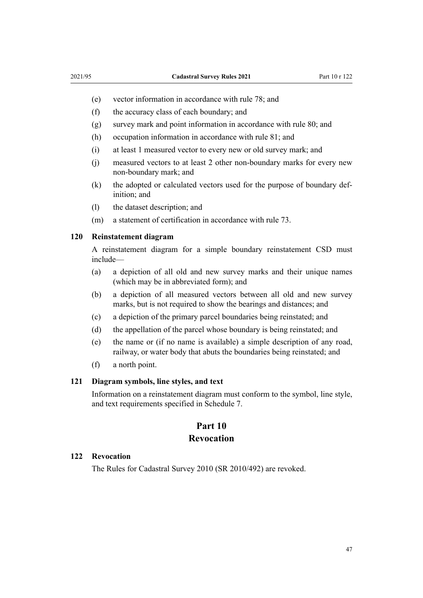- <span id="page-46-0"></span>(e) vector information in accordance with [rule 78;](#page-30-0) and
- (f) the accuracy class of each boundary; and
- (g) survey mark and point information in accordance with [rule 80](#page-30-0); and
- (h) occupation information in accordance with [rule 81;](#page-31-0) and
- (i) at least 1 measured vector to every new or old survey mark; and
- (j) measured vectors to at least 2 other non-boundary marks for every new non-boundary mark; and
- (k) the adopted or calculated vectors used for the purpose of boundary definition; and
- (l) the dataset description; and
- (m) a statement of certification in accordance with [rule 73.](#page-28-0)

## **120 Reinstatement diagram**

A reinstatement diagram for a simple boundary reinstatement CSD must include—

- (a) a depiction of all old and new survey marks and their unique names (which may be in abbreviated form); and
- (b) a depiction of all measured vectors between all old and new survey marks, but is not required to show the bearings and distances; and
- (c) a depiction of the primary parcel boundaries being reinstated; and
- (d) the appellation of the parcel whose boundary is being reinstated; and
- (e) the name or (if no name is available) a simple description of any road, railway, or water body that abuts the boundaries being reinstated; and
- (f) a north point.

#### **121 Diagram symbols, line styles, and text**

Information on a reinstatement diagram must conform to the symbol, line style, and text requirements specified in [Schedule 7.](#page-55-0)

# **Part 10 Revocation**

#### **122 Revocation**

The [Rules for Cadastral Survey 2010](http://legislation.govt.nz/pdflink.aspx?id=DLM6960406) (SR 2010/492) are revoked.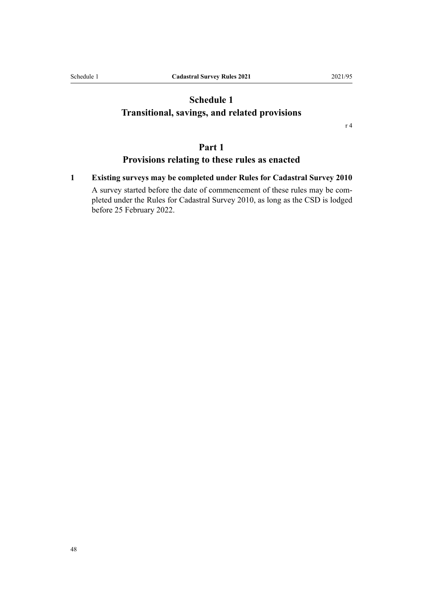# <span id="page-47-0"></span>**Schedule 1 Transitional, savings, and related provisions**

[r 4](#page-5-0)

# **Part 1**

# **Provisions relating to these rules as enacted**

**1 Existing surveys may be completed under Rules for Cadastral Survey 2010**

A survey started before the date of commencement of these rules may be completed under the [Rules for Cadastral Survey 2010](http://legislation.govt.nz/pdflink.aspx?id=DLM6960406), as long as the CSD is lodged before 25 February 2022.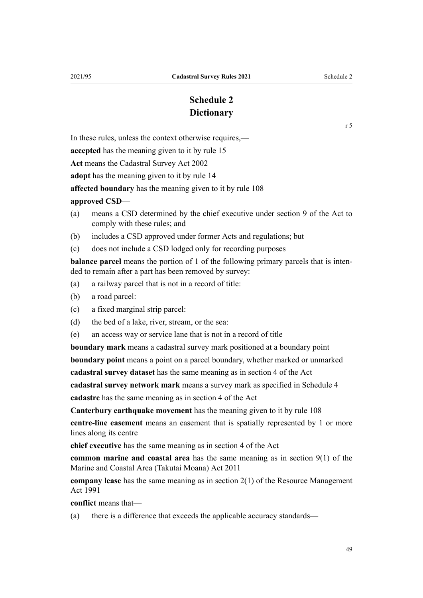# **Schedule 2 Dictionary**

[r 5](#page-5-0)

<span id="page-48-0"></span>In these rules, unless the context otherwise requires,—

**accepted** has the meaning given to it by [rule 15](#page-8-0)

**Act** means the [Cadastral Survey Act 2002](http://legislation.govt.nz/pdflink.aspx?id=DLM141994)

**adopt** has the meaning given to it by [rule 14](#page-8-0)

**affected boundary** has the meaning given to it by [rule 108](#page-40-0)

#### **approved CSD**—

- (a) means a CSD determined by the chief executive under [section 9](http://legislation.govt.nz/pdflink.aspx?id=DLM6963527) of the Act to comply with these rules; and
- (b) includes a CSD approved under former Acts and regulations; but
- (c) does not include a CSD lodged only for recording purposes

**balance parcel** means the portion of 1 of the following primary parcels that is intended to remain after a part has been removed by survey:

- (a) a railway parcel that is not in a record of title:
- (b) a road parcel:
- (c) a fixed marginal strip parcel:
- (d) the bed of a lake, river, stream, or the sea:
- (e) an access way or service lane that is not in a record of title

**boundary mark** means a cadastral survey mark positioned at a boundary point

**boundary point** means a point on a parcel boundary, whether marked or unmarked

**cadastral survey dataset** has the same meaning as in [section 4](http://legislation.govt.nz/pdflink.aspx?id=DLM142402) of the Act

**cadastral survey network mark** means a survey mark as specified in [Schedule 4](#page-53-0) **cadastre** has the same meaning as in [section 4](http://legislation.govt.nz/pdflink.aspx?id=DLM142402) of the Act

**Canterbury earthquake movement** has the meaning given to it by [rule 108](#page-40-0)

**centre-line easement** means an easement that is spatially represented by 1 or more lines along its centre

**chief executive** has the same meaning as in [section 4](http://legislation.govt.nz/pdflink.aspx?id=DLM142402) of the Act

**common marine and coastal area** has the same meaning as in [section 9\(1\)](http://legislation.govt.nz/pdflink.aspx?id=DLM3213146) of the Marine and Coastal Area (Takutai Moana) Act 2011

**company lease** has the same meaning as in [section 2\(1\)](http://legislation.govt.nz/pdflink.aspx?id=DLM230272) of the Resource Management Act 1991

**conflict** means that—

(a) there is a difference that exceeds the applicable accuracy standards—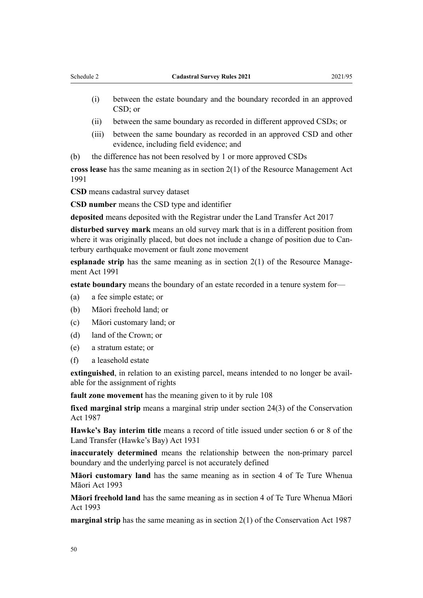- (i) between the estate boundary and the boundary recorded in an approved CSD; or
- (ii) between the same boundary as recorded in different approved CSDs; or
- (iii) between the same boundary as recorded in an approved CSD and other evidence, including field evidence; and
- (b) the difference has not been resolved by 1 or more approved CSDs

**cross lease** has the same meaning as in [section 2\(1\)](http://legislation.govt.nz/pdflink.aspx?id=DLM230272) of the Resource Management Act 1991

**CSD** means cadastral survey dataset

**CSD number** means the CSD type and identifier

**deposited** means deposited with the Registrar under the [Land Transfer Act 2017](http://legislation.govt.nz/pdflink.aspx?id=DLM6731002)

**disturbed survey mark** means an old survey mark that is in a different position from where it was originally placed, but does not include a change of position due to Canterbury earthquake movement or fault zone movement

**esplanade strip** has the same meaning as in [section 2\(1\)](http://legislation.govt.nz/pdflink.aspx?id=DLM230272) of the Resource Management Act 1991

**estate boundary** means the boundary of an estate recorded in a tenure system for—

- (a) a fee simple estate; or
- (b) Māori freehold land; or
- (c) Māori customary land; or
- (d) land of the Crown; or
- (e) a stratum estate; or
- (f) a leasehold estate

**extinguished**, in relation to an existing parcel, means intended to no longer be avail able for the assignment of rights

**fault zone movement** has the meaning given to it by [rule 108](#page-40-0)

**fixed marginal strip** means a marginal strip under [section 24\(3\)](http://legislation.govt.nz/pdflink.aspx?id=DLM104699) of the Conservation Act 1987

**Hawke's Bay interim title** means a record of title issued under section 6 or 8 of the Land Transfer (Hawke's Bay) Act 1931

**inaccurately determined** means the relationship between the non-primary parcel boundary and the underlying parcel is not accurately defined

**Māori customary land** has the same meaning as in [section 4](http://legislation.govt.nz/pdflink.aspx?id=DLM289897) of Te Ture Whenua Māori Act 1993

**Māori freehold land** has the same meaning as in [section 4](http://legislation.govt.nz/pdflink.aspx?id=DLM289897) of Te Ture Whenua Māori Act 1993

**marginal strip** has the same meaning as in [section 2\(1\)](http://legislation.govt.nz/pdflink.aspx?id=DLM103616) of the Conservation Act 1987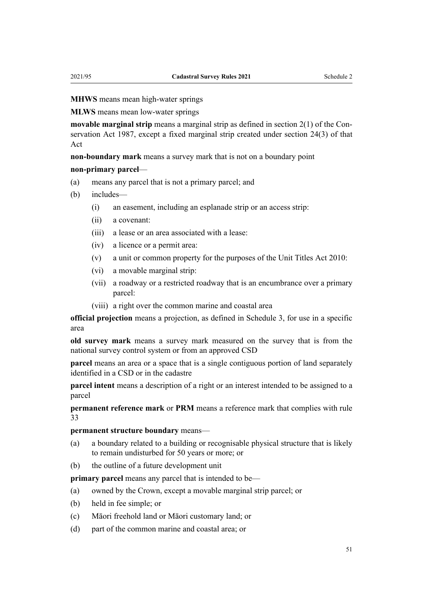**MHWS** means mean high-water springs

**MLWS** means mean low-water springs

**movable marginal strip** means a marginal strip as defined in [section 2\(1\)](http://legislation.govt.nz/pdflink.aspx?id=DLM103616) of the Conservation Act 1987, except a fixed marginal strip created under [section 24\(3\)](http://legislation.govt.nz/pdflink.aspx?id=DLM142472) of that Act

**non-boundary mark** means a survey mark that is not on a boundary point

#### **non-primary parcel**—

- (a) means any parcel that is not a primary parcel; and
- (b) includes—
	- (i) an easement, including an esplanade strip or an access strip:
	- (ii) a covenant:
	- (iii) a lease or an area associated with a lease:
	- (iv) a licence or a permit area:
	- (v) a unit or common property for the purposes of the [Unit Titles Act 2010](http://legislation.govt.nz/pdflink.aspx?id=DLM1160400):
	- (vi) a movable marginal strip:
	- (vii) a roadway or a restricted roadway that is an encumbrance over a primary parcel:
	- (viii) a right over the common marine and coastal area

**official projection** means a projection, as defined in [Schedule 3](#page-52-0), for use in a specific area

**old survey mark** means a survey mark measured on the survey that is from the national survey control system or from an approved CSD

**parcel** means an area or a space that is a single contiguous portion of land separately identified in a CSD or in the cadastre

**parcel intent** means a description of a right or an interest intended to be assigned to a parcel

**permanent reference mark** or **PRM** means a reference mark that complies with [rule](#page-14-0) [33](#page-14-0)

#### **permanent structure boundary** means—

- (a) a boundary related to a building or recognisable physical structure that is likely to remain undisturbed for 50 years or more; or
- (b) the outline of a future development unit

**primary parcel** means any parcel that is intended to be—

- (a) owned by the Crown, except a movable marginal strip parcel; or
- (b) held in fee simple; or
- (c) Māori freehold land or Māori customary land; or
- (d) part of the common marine and coastal area; or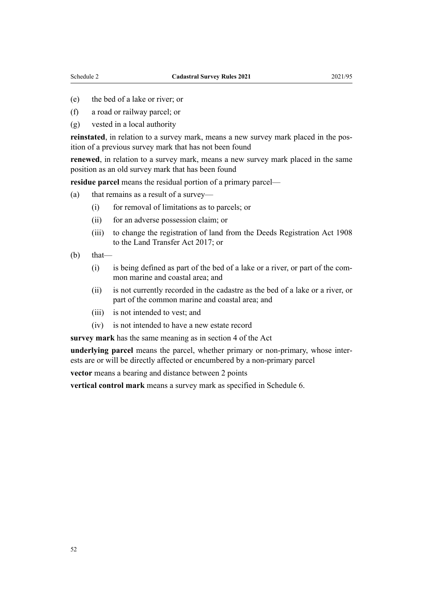- (e) the bed of a lake or river; or
- (f) a road or railway parcel; or
- (g) vested in a local authority

**reinstated**, in relation to a survey mark, means a new survey mark placed in the pos‐ ition of a previous survey mark that has not been found

**renewed**, in relation to a survey mark, means a new survey mark placed in the same position as an old survey mark that has been found

**residue parcel** means the residual portion of a primary parcel—

- (a) that remains as a result of a survey—
	- (i) for removal of limitations as to parcels; or
	- (ii) for an adverse possession claim; or
	- (iii) to change the registration of land from the [Deeds Registration Act 1908](http://legislation.govt.nz/pdflink.aspx?id=DLM141134) to the [Land Transfer Act 2017](http://legislation.govt.nz/pdflink.aspx?id=DLM6731002); or
- $(b)$  that—
	- (i) is being defined as part of the bed of a lake or a river, or part of the com‐ mon marine and coastal area; and
	- (ii) is not currently recorded in the cadastre as the bed of a lake or a river, or part of the common marine and coastal area; and
	- (iii) is not intended to vest; and
	- (iv) is not intended to have a new estate record

**survey mark** has the same meaning as in [section 4](http://legislation.govt.nz/pdflink.aspx?id=DLM142402) of the Act

**underlying parcel** means the parcel, whether primary or non-primary, whose inter‐ ests are or will be directly affected or encumbered by a non-primary parcel

**vector** means a bearing and distance between 2 points

**vertical control mark** means a survey mark as specified in [Schedule 6](#page-54-0).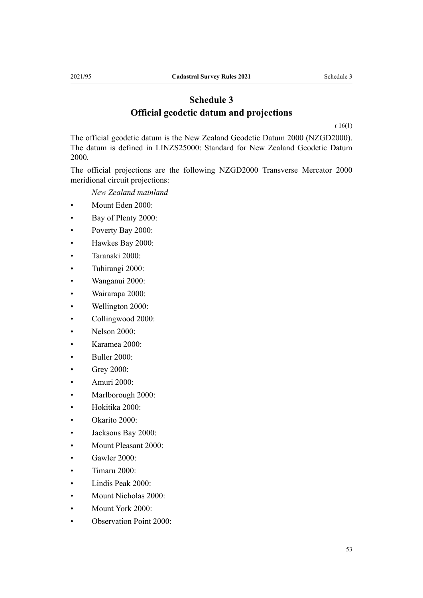# **Schedule 3 Official geodetic datum and projections**

[r 16\(1\)](#page-9-0)

<span id="page-52-0"></span>The official geodetic datum is the New Zealand Geodetic Datum 2000 (NZGD2000). The datum is defined in LINZS25000: Standard for New Zealand Geodetic Datum 2000.

The official projections are the following NZGD2000 Transverse Mercator 2000 meridional circuit projections:

*New Zealand mainland*

- Mount Eden 2000:
- Bay of Plenty 2000:
- Poverty Bay 2000:
- Hawkes Bay 2000:
- Taranaki 2000:
- Tuhirangi 2000:
- Wanganui 2000:
- Wairarapa 2000:
- Wellington 2000:
- Collingwood 2000:
- Nelson 2000:
- Karamea 2000:
- Buller 2000:
- Grey 2000:
- Amuri 2000:
- Marlborough 2000:
- Hokitika 2000:
- Okarito 2000:
- Jacksons Bay 2000:
- Mount Pleasant 2000:
- Gawler 2000:
- Timaru 2000:
- Lindis Peak 2000:
- Mount Nicholas 2000:
- Mount York 2000:
- Observation Point 2000: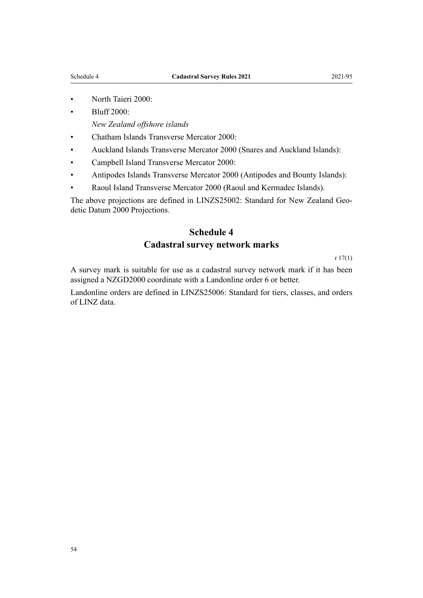- <span id="page-53-0"></span>• North Taieri 2000:
- Bluff 2000:

*New Zealand offshore islands*

- Chatham Islands Transverse Mercator 2000:
- Auckland Islands Transverse Mercator 2000 (Snares and Auckland Islands):
- Campbell Island Transverse Mercator 2000:
- Antipodes Islands Transverse Mercator 2000 (Antipodes and Bounty Islands):
- Raoul Island Transverse Mercator 2000 (Raoul and Kermadec Islands).

The above projections are defined in LINZS25002: Standard for New Zealand Geodetic Datum 2000 Projections.

# **Schedule 4 Cadastral survey network marks**

[r 17\(1\)](#page-9-0)

A survey mark is suitable for use as a cadastral survey network mark if it has been assigned a NZGD2000 coordinate with a Landonline order 6 or better.

Landonline orders are defined in LINZS25006: Standard for tiers, classes, and orders of LINZ data.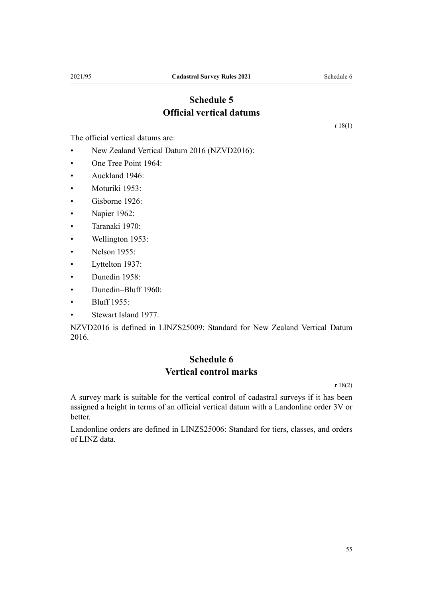# **Schedule 5 Official vertical datums**

<span id="page-54-0"></span>The official vertical datums are:

- New Zealand Vertical Datum 2016 (NZVD2016):
- One Tree Point 1964:
- Auckland 1946:
- Moturiki 1953:
- Gisborne 1926:
- Napier 1962:
- Taranaki 1970:
- Wellington 1953:
- Nelson 1955:
- Lyttelton 1937:
- Dunedin 1958:
- Dunedin–Bluff 1960:
- Bluff 1955:
- Stewart Island 1977.

NZVD2016 is defined in LINZS25009: Standard for New Zealand Vertical Datum 2016.

# **Schedule 6 Vertical control marks**

[r 18\(2\)](#page-9-0)

A survey mark is suitable for the vertical control of cadastral surveys if it has been assigned a height in terms of an official vertical datum with a Landonline order 3V or better.

Landonline orders are defined in LINZS25006: Standard for tiers, classes, and orders of LINZ data.

[r 18\(1\)](#page-9-0)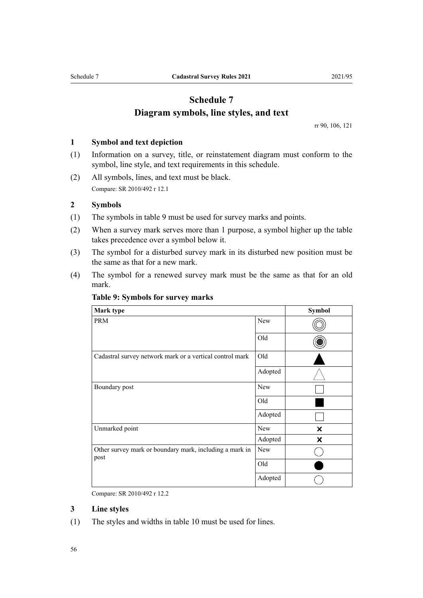# **Schedule 7 Diagram symbols, line styles, and text**

[rr 90](#page-34-0), [106](#page-40-0), [121](#page-46-0)

#### <span id="page-55-0"></span>**1 Symbol and text depiction**

- (1) Information on a survey, title, or reinstatement diagram must conform to the symbol, line style, and text requirements in this schedule.
- (2) All symbols, lines, and text must be black. Compare: SR 2010/492 r 12.1

#### **2 Symbols**

- (1) The symbols in table 9 must be used for survey marks and points.
- (2) When a survey mark serves more than 1 purpose, a symbol higher up the table takes precedence over a symbol below it.
- (3) The symbol for a disturbed survey mark in its disturbed new position must be the same as that for a new mark.
- (4) The symbol for a renewed survey mark must be the same as that for an old mark.

| Mark type                                                       |            | <b>Symbol</b>             |
|-----------------------------------------------------------------|------------|---------------------------|
| <b>PRM</b>                                                      | New        |                           |
|                                                                 | Old        |                           |
| Cadastral survey network mark or a vertical control mark        | Old        |                           |
|                                                                 | Adopted    |                           |
| Boundary post                                                   | New        |                           |
|                                                                 | Old        |                           |
|                                                                 | Adopted    |                           |
| Unmarked point                                                  | New        | $\boldsymbol{\mathsf{x}}$ |
|                                                                 | Adopted    | x                         |
| Other survey mark or boundary mark, including a mark in<br>post | <b>New</b> |                           |
|                                                                 | Old        |                           |
|                                                                 | Adopted    |                           |

#### **Table 9: Symbols for survey marks**

Compare: SR 2010/492 r 12.2

## **3 Line styles**

(1) The styles and widths in table 10 must be used for lines.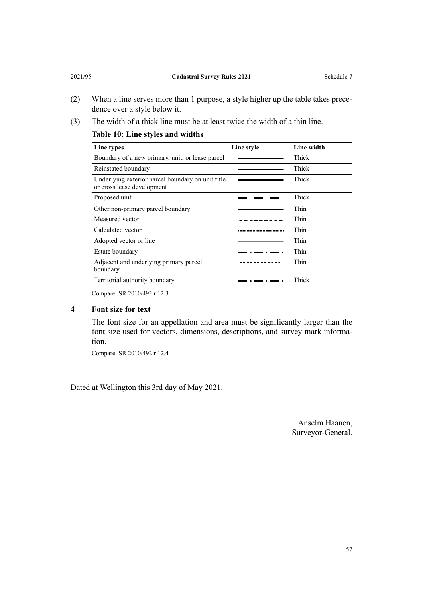- (2) When a line serves more than 1 purpose, a style higher up the table takes prece‐ dence over a style below it.
- (3) The width of a thick line must be at least twice the width of a thin line.

# **Table 10: Line styles and widths**

| Line types                                                                      | Line style | Line width |
|---------------------------------------------------------------------------------|------------|------------|
| Boundary of a new primary, unit, or lease parcel                                |            | Thick      |
| Reinstated boundary                                                             |            | Thick      |
| Underlying exterior parcel boundary on unit title<br>or cross lease development |            | Thick      |
| Proposed unit                                                                   |            | Thick      |
| Other non-primary parcel boundary                                               |            | Thin       |
| Measured vector                                                                 |            | Thin       |
| Calculated vector                                                               |            | Thin       |
| Adopted vector or line                                                          |            | Thin       |
| Estate boundary                                                                 |            | Thin       |
| Adjacent and underlying primary parcel<br>boundary                              |            | Thin       |
| Territorial authority boundary                                                  |            | Thick      |

Compare: SR 2010/492 r 12.3

# **4 Font size for text**

The font size for an appellation and area must be significantly larger than the font size used for vectors, dimensions, descriptions, and survey mark information.

Compare: SR 2010/492 r 12.4

Dated at Wellington this 3rd day of May 2021.

Anselm Haanen, Surveyor-General.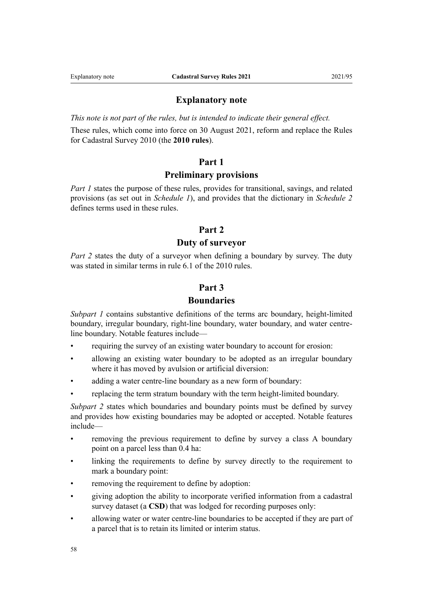# **Explanatory note**

*This note is not part of the rules, but is intended to indicate their general effect.*

These rules, which come into force on 30 August 2021, reform and replace the [Rules](http://legislation.govt.nz/pdflink.aspx?id=DLM6960406) [for Cadastral Survey 2010](http://legislation.govt.nz/pdflink.aspx?id=DLM6960406) (the **2010 rules**).

### **Part 1**

#### **Preliminary provisions**

*[Part 1](#page-5-0)* states the purpose of these rules, provides for transitional, savings, and related provisions (as set out in *[Schedule 1](#page-47-0)*), and provides that the dictionary in *[Schedule 2](#page-48-0)* defines terms used in these rules.

# **Part 2**

## **Duty of surveyor**

*Part 2* states the duty of a surveyor when defining a boundary by survey. The duty was stated in similar terms in rule 6.1 of the 2010 rules.

# **Part 3**

# **Boundaries**

*[Subpart 1](#page-6-0)* contains substantive definitions of the terms arc boundary, height-limited boundary, irregular boundary, right-line boundary, water boundary, and water centreline boundary. Notable features include—

- requiring the survey of an existing water boundary to account for erosion:
- allowing an existing water boundary to be adopted as an irregular boundary where it has moved by avulsion or artificial diversion:
- adding a water centre-line boundary as a new form of boundary:
- replacing the term stratum boundary with the term height-limited boundary.

*[Subpart 2](#page-7-0)* states which boundaries and boundary points must be defined by survey and provides how existing boundaries may be adopted or accepted. Notable features include—

- removing the previous requirement to define by survey a class A boundary point on a parcel less than 0.4 ha:
- linking the requirements to define by survey directly to the requirement to mark a boundary point:
- removing the requirement to define by adoption:
- giving adoption the ability to incorporate verified information from a cadastral survey dataset (a **CSD**) that was lodged for recording purposes only:
- allowing water or water centre-line boundaries to be accepted if they are part of a parcel that is to retain its limited or interim status.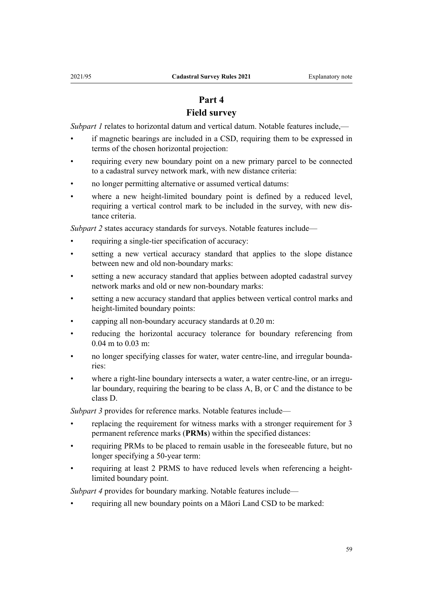# **Part 4**

# **Field survey**

*[Subpart 1](#page-9-0)* relates to horizontal datum and vertical datum. Notable features include,—

- if magnetic bearings are included in a CSD, requiring them to be expressed in terms of the chosen horizontal projection:
- requiring every new boundary point on a new primary parcel to be connected to a cadastral survey network mark, with new distance criteria:
- no longer permitting alternative or assumed vertical datums:
- where a new height-limited boundary point is defined by a reduced level, requiring a vertical control mark to be included in the survey, with new dis‐ tance criteria.

*[Subpart 2](#page-9-0)* states accuracy standards for surveys. Notable features include—

- requiring a single-tier specification of accuracy:
- setting a new vertical accuracy standard that applies to the slope distance between new and old non-boundary marks:
- setting a new accuracy standard that applies between adopted cadastral survey network marks and old or new non-boundary marks:
- setting a new accuracy standard that applies between vertical control marks and height-limited boundary points:
- capping all non-boundary accuracy standards at 0.20 m:
- reducing the horizontal accuracy tolerance for boundary referencing from 0.04 m to 0.03 m:
- no longer specifying classes for water, water centre-line, and irregular boundaries:
- where a right-line boundary intersects a water, a water centre-line, or an irregular boundary, requiring the bearing to be class A, B, or C and the distance to be class D.

*[Subpart 3](#page-13-0)* provides for reference marks. Notable features include—

- replacing the requirement for witness marks with a stronger requirement for 3 permanent reference marks (**PRMs**) within the specified distances:
- requiring PRMs to be placed to remain usable in the foreseeable future, but no longer specifying a 50-year term:
- requiring at least 2 PRMS to have reduced levels when referencing a heightlimited boundary point.

*[Subpart 4](#page-14-0)* provides for boundary marking. Notable features include—

• requiring all new boundary points on a Māori Land CSD to be marked: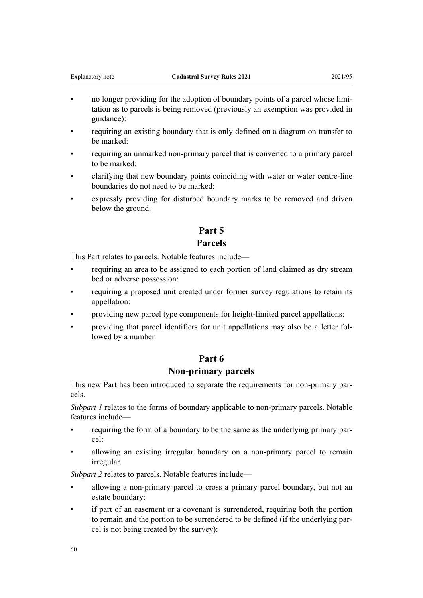- no longer providing for the adoption of boundary points of a parcel whose limitation as to parcels is being removed (previously an exemption was provided in guidance):
- requiring an existing boundary that is only defined on a diagram on transfer to be marked:
- requiring an unmarked non-primary parcel that is converted to a primary parcel to be marked:
- clarifying that new boundary points coinciding with water or water centre-line boundaries do not need to be marked:
- expressly providing for disturbed boundary marks to be removed and driven below the ground.

# **Part 5 Parcels**

This Part relates to parcels. Notable features include—

- requiring an area to be assigned to each portion of land claimed as dry stream bed or adverse possession:
- requiring a proposed unit created under former survey regulations to retain its appellation:
- providing new parcel type components for height-limited parcel appellations:
- providing that parcel identifiers for unit appellations may also be a letter fol‐ lowed by a number.

# **Part 6**

# **Non-primary parcels**

This new Part has been introduced to separate the requirements for non-primary par‐ cels.

*[Subpart 1](#page-6-0)* relates to the forms of boundary applicable to non-primary parcels. Notable features include—

- requiring the form of a boundary to be the same as the underlying primary par‐ cel:
- allowing an existing irregular boundary on a non-primary parcel to remain irregular.

*[Subpart 2](#page-20-0)* relates to parcels. Notable features include—

- allowing a non-primary parcel to cross a primary parcel boundary, but not an estate boundary:
- if part of an easement or a covenant is surrendered, requiring both the portion to remain and the portion to be surrendered to be defined (if the underlying par‐ cel is not being created by the survey):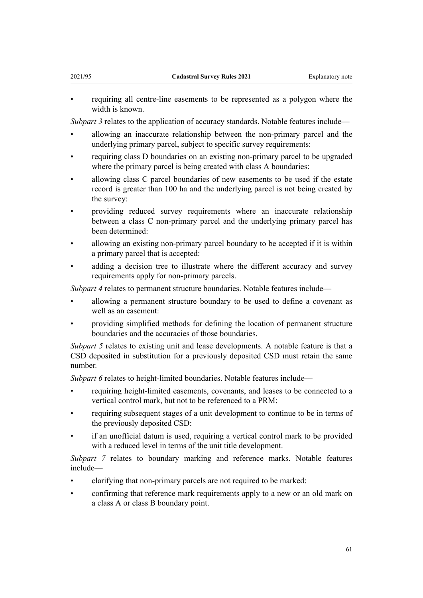• requiring all centre-line easements to be represented as a polygon where the width is known.

*[Subpart 3](#page-20-0)* relates to the application of accuracy standards. Notable features include—

- allowing an inaccurate relationship between the non-primary parcel and the underlying primary parcel, subject to specific survey requirements:
- requiring class D boundaries on an existing non-primary parcel to be upgraded where the primary parcel is being created with class A boundaries:
- allowing class C parcel boundaries of new easements to be used if the estate record is greater than 100 ha and the underlying parcel is not being created by the survey:
- providing reduced survey requirements where an inaccurate relationship between a class C non-primary parcel and the underlying primary parcel has been determined:
- allowing an existing non-primary parcel boundary to be accepted if it is within a primary parcel that is accepted:
- adding a decision tree to illustrate where the different accuracy and survey requirements apply for non-primary parcels.

*[Subpart 4](#page-24-0)* relates to permanent structure boundaries. Notable features include—

- allowing a permanent structure boundary to be used to define a covenant as well as an easement:
- providing simplified methods for defining the location of permanent structure boundaries and the accuracies of those boundaries.

*[Subpart 5](#page-24-0)* relates to existing unit and lease developments. A notable feature is that a CSD deposited in substitution for a previously deposited CSD must retain the same number.

*[Subpart 6](#page-25-0)* relates to height-limited boundaries. Notable features include—

- requiring height-limited easements, covenants, and leases to be connected to a vertical control mark, but not to be referenced to a PRM:
- requiring subsequent stages of a unit development to continue to be in terms of the previously deposited CSD:
- if an unofficial datum is used, requiring a vertical control mark to be provided with a reduced level in terms of the unit title development.

*[Subpart 7](#page-26-0)* relates to boundary marking and reference marks. Notable features include—

- clarifying that non-primary parcels are not required to be marked:
- confirming that reference mark requirements apply to a new or an old mark on a class A or class B boundary point.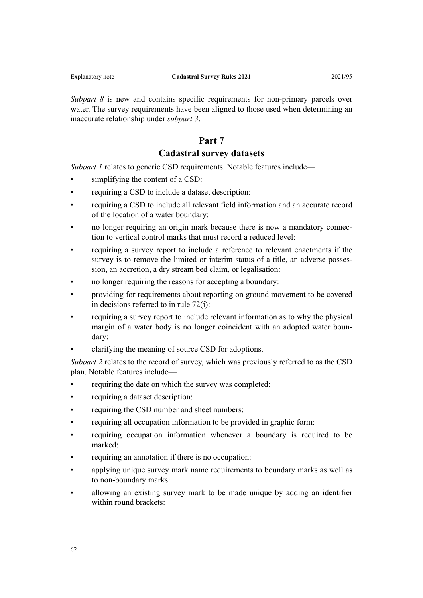*[Subpart 8](#page-26-0)* is new and contains specific requirements for non-primary parcels over water. The survey requirements have been aligned to those used when determining an inaccurate relationship under *[subpart 3](#page-20-0)*.

# **Part 7**

# **Cadastral survey datasets**

*[Subpart 1](#page-27-0)* relates to generic CSD requirements. Notable features include—

- simplifying the content of a CSD:
- requiring a CSD to include a dataset description:
- requiring a CSD to include all relevant field information and an accurate record of the location of a water boundary:
- no longer requiring an origin mark because there is now a mandatory connection to vertical control marks that must record a reduced level:
- requiring a survey report to include a reference to relevant enactments if the survey is to remove the limited or interim status of a title, an adverse possession, an accretion, a dry stream bed claim, or legalisation:
- no longer requiring the reasons for accepting a boundary:
- providing for requirements about reporting on ground movement to be covered in decisions referred to in [rule 72\(i\):](#page-27-0)
- requiring a survey report to include relevant information as to why the physical margin of a water body is no longer coincident with an adopted water boundary:
- clarifying the meaning of source CSD for adoptions.

*[Subpart 2](#page-29-0)* relates to the record of survey, which was previously referred to as the CSD plan. Notable features include—

- requiring the date on which the survey was completed:
- requiring a dataset description:
- requiring the CSD number and sheet numbers:
- requiring all occupation information to be provided in graphic form:
- requiring occupation information whenever a boundary is required to be marked:
- requiring an annotation if there is no occupation:
- applying unique survey mark name requirements to boundary marks as well as to non-boundary marks:
- allowing an existing survey mark to be made unique by adding an identifier within round brackets: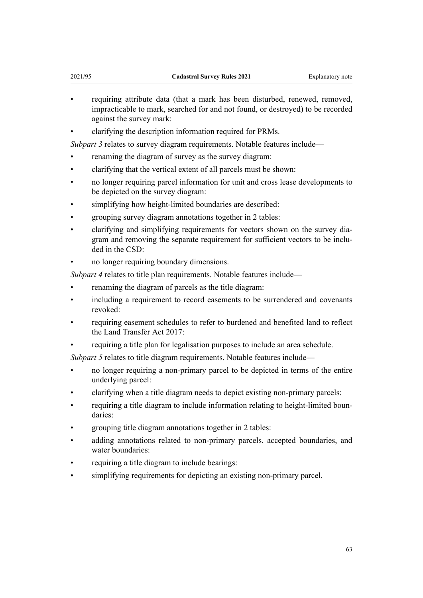- requiring attribute data (that a mark has been disturbed, renewed, removed, impracticable to mark, searched for and not found, or destroyed) to be recorded against the survey mark:
- clarifying the description information required for PRMs.

*[Subpart 3](#page-31-0)* relates to survey diagram requirements. Notable features include—

- renaming the diagram of survey as the survey diagram:
- clarifying that the vertical extent of all parcels must be shown:
- no longer requiring parcel information for unit and cross lease developments to be depicted on the survey diagram:
- simplifying how height-limited boundaries are described:
- grouping survey diagram annotations together in 2 tables:
- clarifying and simplifying requirements for vectors shown on the survey dia‐ gram and removing the separate requirement for sufficient vectors to be included in the CSD:
- no longer requiring boundary dimensions.

*[Subpart 4](#page-34-0)* relates to title plan requirements. Notable features include—

- renaming the diagram of parcels as the title diagram:
- including a requirement to record easements to be surrendered and covenants revoked:
- requiring easement schedules to refer to burdened and benefited land to reflect the [Land Transfer Act 2017:](http://legislation.govt.nz/pdflink.aspx?id=DLM6731002)
- requiring a title plan for legalisation purposes to include an area schedule.

*[Subpart 5](#page-36-0)* relates to title diagram requirements. Notable features include-

- no longer requiring a non-primary parcel to be depicted in terms of the entire underlying parcel:
- clarifying when a title diagram needs to depict existing non-primary parcels:
- requiring a title diagram to include information relating to height-limited boundaries:
- grouping title diagram annotations together in 2 tables:
- adding annotations related to non-primary parcels, accepted boundaries, and water boundaries:
- requiring a title diagram to include bearings:
- simplifying requirements for depicting an existing non-primary parcel.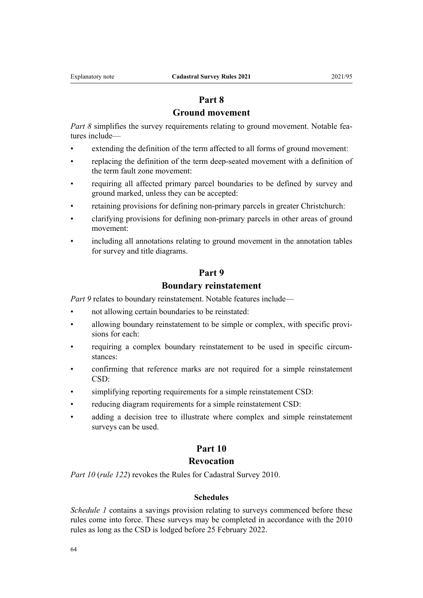# **Part 8**

# **Ground movement**

*[Part 8](#page-40-0)* simplifies the survey requirements relating to ground movement. Notable features include—

- extending the definition of the term affected to all forms of ground movement:
- replacing the definition of the term deep-seated movement with a definition of the term fault zone movement:
- requiring all affected primary parcel boundaries to be defined by survey and ground marked, unless they can be accepted:
- retaining provisions for defining non-primary parcels in greater Christchurch:
- clarifying provisions for defining non-primary parcels in other areas of ground movement:
- including all annotations relating to ground movement in the annotation tables for survey and title diagrams.

## **Part 9**

# **Boundary reinstatement**

*[Part 9](#page-42-0)* relates to boundary reinstatement. Notable features include—

- not allowing certain boundaries to be reinstated:
- allowing boundary reinstatement to be simple or complex, with specific provisions for each:
- requiring a complex boundary reinstatement to be used in specific circumstances:
- confirming that reference marks are not required for a simple reinstatement CSD:
- simplifying reporting requirements for a simple reinstatement CSD:
- reducing diagram requirements for a simple reinstatement CSD:
- adding a decision tree to illustrate where complex and simple reinstatement surveys can be used.

# **Part 10**

# **Revocation**

*[Part 10](#page-46-0)* (*[rule 122](#page-46-0)*) revokes the [Rules for Cadastral Survey 2010.](http://legislation.govt.nz/pdflink.aspx?id=DLM6960406)

## **Schedules**

*[Schedule 1](#page-47-0)* contains a savings provision relating to surveys commenced before these rules come into force. These surveys may be completed in accordance with the 2010 rules as long as the CSD is lodged before 25 February 2022.